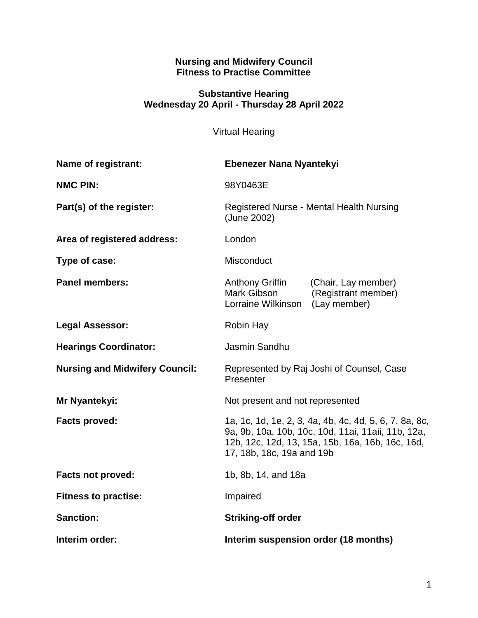#### **Nursing and Midwifery Council Fitness to Practise Committee**

#### **Substantive Hearing Wednesday 20 April - Thursday 28 April 2022**

# Virtual Hearing

| <b>Name of registrant:</b>            | Ebenezer Nana Nyantekyi                                                                                                                                                                       |                                                            |
|---------------------------------------|-----------------------------------------------------------------------------------------------------------------------------------------------------------------------------------------------|------------------------------------------------------------|
| <b>NMC PIN:</b>                       | 98Y0463E                                                                                                                                                                                      |                                                            |
| Part(s) of the register:              | Registered Nurse - Mental Health Nursing<br>(June 2002)                                                                                                                                       |                                                            |
| Area of registered address:           | London                                                                                                                                                                                        |                                                            |
| Type of case:                         | Misconduct                                                                                                                                                                                    |                                                            |
| <b>Panel members:</b>                 | <b>Anthony Griffin</b><br>Mark Gibson<br>Lorraine Wilkinson                                                                                                                                   | (Chair, Lay member)<br>(Registrant member)<br>(Lay member) |
| <b>Legal Assessor:</b>                | Robin Hay                                                                                                                                                                                     |                                                            |
| <b>Hearings Coordinator:</b>          | Jasmin Sandhu                                                                                                                                                                                 |                                                            |
| <b>Nursing and Midwifery Council:</b> | Represented by Raj Joshi of Counsel, Case<br>Presenter                                                                                                                                        |                                                            |
| Mr Nyantekyi:                         | Not present and not represented                                                                                                                                                               |                                                            |
| <b>Facts proved:</b>                  | 1a, 1c, 1d, 1e, 2, 3, 4a, 4b, 4c, 4d, 5, 6, 7, 8a, 8c,<br>9a, 9b, 10a, 10b, 10c, 10d, 11ai, 11aii, 11b, 12a,<br>12b, 12c, 12d, 13, 15a, 15b, 16a, 16b, 16c, 16d,<br>17, 18b, 18c, 19a and 19b |                                                            |
| <b>Facts not proved:</b>              | 1b, 8b, 14, and 18a                                                                                                                                                                           |                                                            |
| <b>Fitness to practise:</b>           | Impaired                                                                                                                                                                                      |                                                            |
| <b>Sanction:</b>                      | <b>Striking-off order</b>                                                                                                                                                                     |                                                            |
| Interim order:                        | Interim suspension order (18 months)                                                                                                                                                          |                                                            |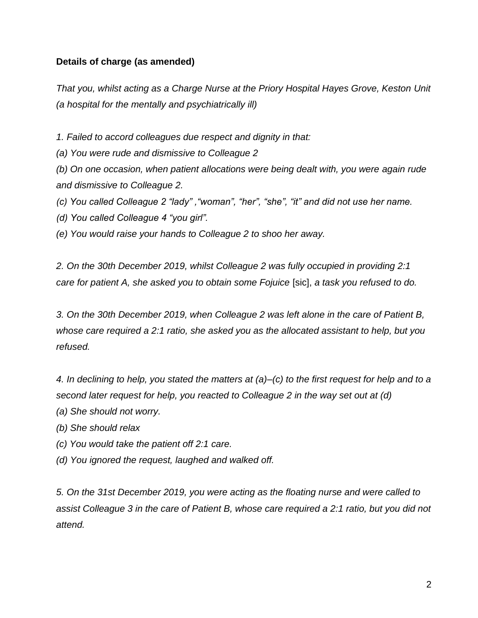# **Details of charge (as amended)**

*That you, whilst acting as a Charge Nurse at the Priory Hospital Hayes Grove, Keston Unit (a hospital for the mentally and psychiatrically ill)*

*1. Failed to accord colleagues due respect and dignity in that:*

*(a) You were rude and dismissive to Colleague 2*

*(b) On one occasion, when patient allocations were being dealt with, you were again rude and dismissive to Colleague 2.*

*(c) You called Colleague 2 "lady" ,"woman", "her", "she", "it" and did not use her name.*

*(d) You called Colleague 4 "you girl".*

*(e) You would raise your hands to Colleague 2 to shoo her away.*

*2. On the 30th December 2019, whilst Colleague 2 was fully occupied in providing 2:1 care for patient A, she asked you to obtain some Fojuice* [sic], *a task you refused to do.*

*3. On the 30th December 2019, when Colleague 2 was left alone in the care of Patient B, whose care required a 2:1 ratio, she asked you as the allocated assistant to help, but you refused.*

*4. In declining to help, you stated the matters at (a)–(c) to the first request for help and to a second later request for help, you reacted to Colleague 2 in the way set out at (d)*

*(a) She should not worry.*

*(b) She should relax*

*(c) You would take the patient off 2:1 care.*

*(d) You ignored the request, laughed and walked off.*

*5. On the 31st December 2019, you were acting as the floating nurse and were called to assist Colleague 3 in the care of Patient B, whose care required a 2:1 ratio, but you did not attend.*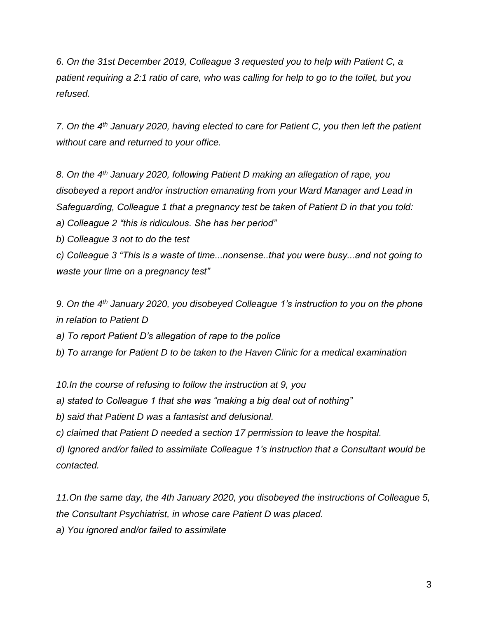*6. On the 31st December 2019, Colleague 3 requested you to help with Patient C, a patient requiring a 2:1 ratio of care, who was calling for help to go to the toilet, but you refused.*

*7. On the 4th January 2020, having elected to care for Patient C, you then left the patient without care and returned to your office.*

*8. On the 4th January 2020, following Patient D making an allegation of rape, you disobeyed a report and/or instruction emanating from your Ward Manager and Lead in Safeguarding, Colleague 1 that a pregnancy test be taken of Patient D in that you told:*

*a) Colleague 2 "this is ridiculous. She has her period"*

*b) Colleague 3 not to do the test*

*c) Colleague 3 "This is a waste of time...nonsense..that you were busy...and not going to waste your time on a pregnancy test"*

*9. On the 4th January 2020, you disobeyed Colleague 1's instruction to you on the phone in relation to Patient D*

*a) To report Patient D's allegation of rape to the police*

*b) To arrange for Patient D to be taken to the Haven Clinic for a medical examination*

*10.In the course of refusing to follow the instruction at 9, you*

*a) stated to Colleague 1 that she was "making a big deal out of nothing"*

*b) said that Patient D was a fantasist and delusional.*

*c) claimed that Patient D needed a section 17 permission to leave the hospital.*

*d) Ignored and/or failed to assimilate Colleague 1's instruction that a Consultant would be contacted.*

*11.On the same day, the 4th January 2020, you disobeyed the instructions of Colleague 5, the Consultant Psychiatrist, in whose care Patient D was placed.*

*a) You ignored and/or failed to assimilate*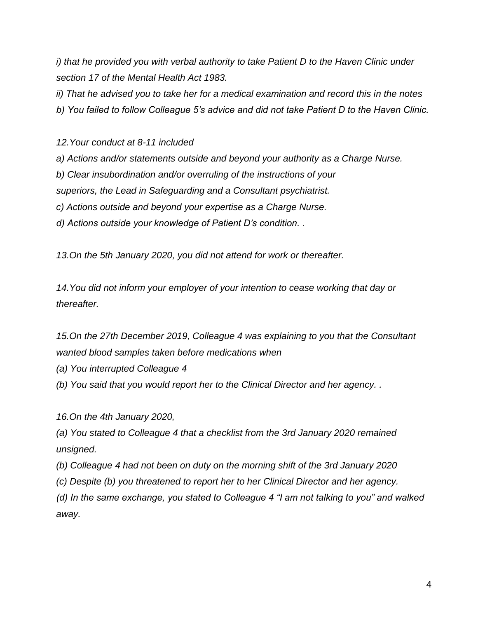*i) that he provided you with verbal authority to take Patient D to the Haven Clinic under section 17 of the Mental Health Act 1983.*

*ii) That he advised you to take her for a medical examination and record this in the notes*

*b) You failed to follow Colleague 5's advice and did not take Patient D to the Haven Clinic.*

*12.Your conduct at 8-11 included*

*a) Actions and/or statements outside and beyond your authority as a Charge Nurse.*

*b) Clear insubordination and/or overruling of the instructions of your*

*superiors, the Lead in Safeguarding and a Consultant psychiatrist.*

*c) Actions outside and beyond your expertise as a Charge Nurse.*

*d) Actions outside your knowledge of Patient D's condition. .*

*13.On the 5th January 2020, you did not attend for work or thereafter.*

*14.You did not inform your employer of your intention to cease working that day or thereafter.*

*15.On the 27th December 2019, Colleague 4 was explaining to you that the Consultant wanted blood samples taken before medications when*

*(a) You interrupted Colleague 4*

*(b) You said that you would report her to the Clinical Director and her agency. .*

*16.On the 4th January 2020,*

*(a) You stated to Colleague 4 that a checklist from the 3rd January 2020 remained unsigned.*

*(b) Colleague 4 had not been on duty on the morning shift of the 3rd January 2020*

*(c) Despite (b) you threatened to report her to her Clinical Director and her agency.*

*(d) In the same exchange, you stated to Colleague 4 "I am not talking to you" and walked away.*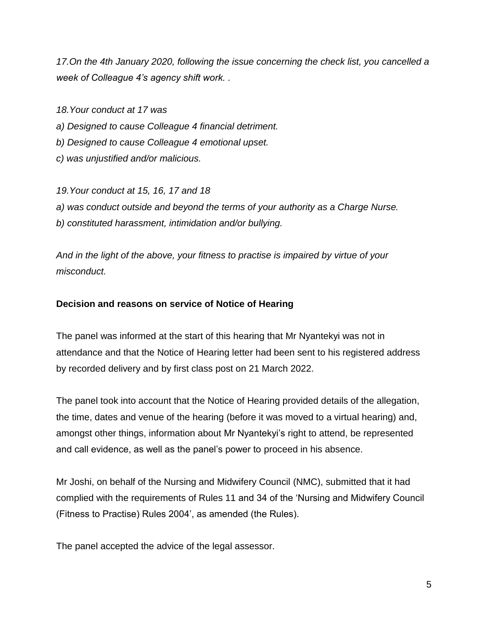*17.On the 4th January 2020, following the issue concerning the check list, you cancelled a week of Colleague 4's agency shift work. .*

*18.Your conduct at 17 was*

*a) Designed to cause Colleague 4 financial detriment.*

*b) Designed to cause Colleague 4 emotional upset.*

*c) was unjustified and/or malicious.*

*19.Your conduct at 15, 16, 17 and 18 a) was conduct outside and beyond the terms of your authority as a Charge Nurse. b) constituted harassment, intimidation and/or bullying.*

*And in the light of the above, your fitness to practise is impaired by virtue of your misconduct.*

# **Decision and reasons on service of Notice of Hearing**

The panel was informed at the start of this hearing that Mr Nyantekyi was not in attendance and that the Notice of Hearing letter had been sent to his registered address by recorded delivery and by first class post on 21 March 2022.

The panel took into account that the Notice of Hearing provided details of the allegation, the time, dates and venue of the hearing (before it was moved to a virtual hearing) and, amongst other things, information about Mr Nyantekyi's right to attend, be represented and call evidence, as well as the panel's power to proceed in his absence.

Mr Joshi, on behalf of the Nursing and Midwifery Council (NMC), submitted that it had complied with the requirements of Rules 11 and 34 of the 'Nursing and Midwifery Council (Fitness to Practise) Rules 2004', as amended (the Rules).

The panel accepted the advice of the legal assessor.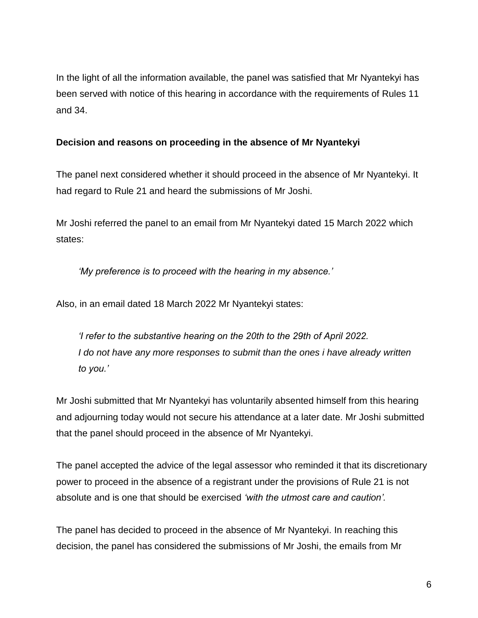In the light of all the information available, the panel was satisfied that Mr Nyantekyi has been served with notice of this hearing in accordance with the requirements of Rules 11 and 34.

# **Decision and reasons on proceeding in the absence of Mr Nyantekyi**

The panel next considered whether it should proceed in the absence of Mr Nyantekyi. It had regard to Rule 21 and heard the submissions of Mr Joshi.

Mr Joshi referred the panel to an email from Mr Nyantekyi dated 15 March 2022 which states:

*'My preference is to proceed with the hearing in my absence.'*

Also, in an email dated 18 March 2022 Mr Nyantekyi states:

*'I refer to the substantive hearing on the 20th to the 29th of April 2022. I* do not have any more responses to submit than the ones *i* have already written *to you.'*

Mr Joshi submitted that Mr Nyantekyi has voluntarily absented himself from this hearing and adjourning today would not secure his attendance at a later date. Mr Joshi submitted that the panel should proceed in the absence of Mr Nyantekyi.

The panel accepted the advice of the legal assessor who reminded it that its discretionary power to proceed in the absence of a registrant under the provisions of Rule 21 is not absolute and is one that should be exercised *'with the utmost care and caution'.*

The panel has decided to proceed in the absence of Mr Nyantekyi. In reaching this decision, the panel has considered the submissions of Mr Joshi, the emails from Mr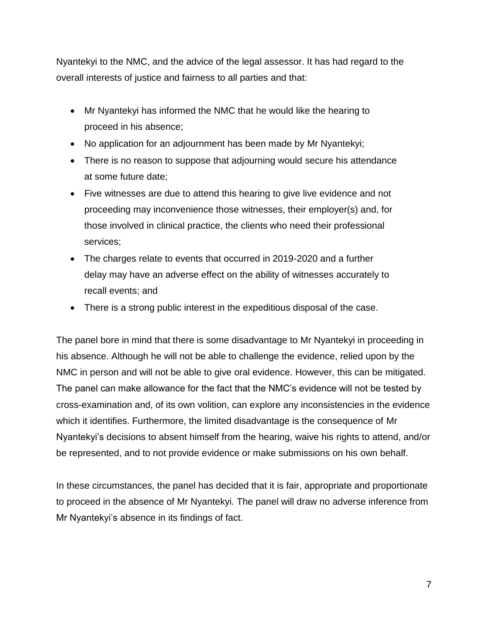Nyantekyi to the NMC, and the advice of the legal assessor. It has had regard to the overall interests of justice and fairness to all parties and that:

- Mr Nyantekyi has informed the NMC that he would like the hearing to proceed in his absence;
- No application for an adjournment has been made by Mr Nyantekyi;
- There is no reason to suppose that adjourning would secure his attendance at some future date;
- Five witnesses are due to attend this hearing to give live evidence and not proceeding may inconvenience those witnesses, their employer(s) and, for those involved in clinical practice, the clients who need their professional services;
- The charges relate to events that occurred in 2019-2020 and a further delay may have an adverse effect on the ability of witnesses accurately to recall events; and
- There is a strong public interest in the expeditious disposal of the case.

The panel bore in mind that there is some disadvantage to Mr Nyantekyi in proceeding in his absence. Although he will not be able to challenge the evidence, relied upon by the NMC in person and will not be able to give oral evidence. However, this can be mitigated. The panel can make allowance for the fact that the NMC's evidence will not be tested by cross-examination and, of its own volition, can explore any inconsistencies in the evidence which it identifies. Furthermore, the limited disadvantage is the consequence of Mr Nyantekyi's decisions to absent himself from the hearing, waive his rights to attend, and/or be represented, and to not provide evidence or make submissions on his own behalf.

In these circumstances, the panel has decided that it is fair, appropriate and proportionate to proceed in the absence of Mr Nyantekyi. The panel will draw no adverse inference from Mr Nyantekyi's absence in its findings of fact.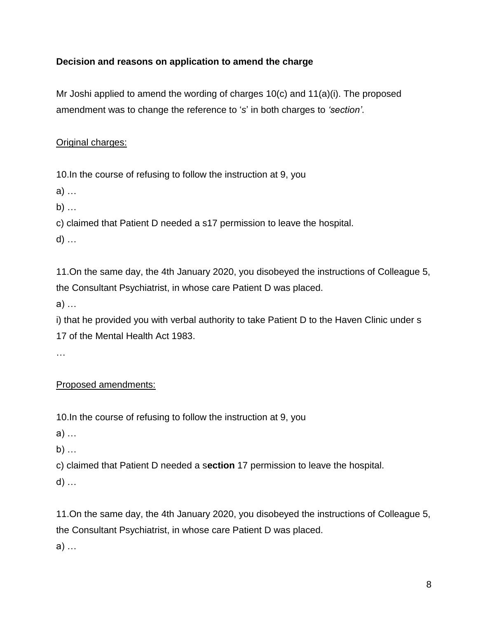# **Decision and reasons on application to amend the charge**

Mr Joshi applied to amend the wording of charges 10(c) and 11(a)(i). The proposed amendment was to change the reference to '*s*' in both charges to *'section'*.

# Original charges:

10.In the course of refusing to follow the instruction at 9, you

a) …

b) …

c) claimed that Patient D needed a s17 permission to leave the hospital.

d) …

11.On the same day, the 4th January 2020, you disobeyed the instructions of Colleague 5, the Consultant Psychiatrist, in whose care Patient D was placed.

a) …

i) that he provided you with verbal authority to take Patient D to the Haven Clinic under s 17 of the Mental Health Act 1983.

…

# Proposed amendments:

10.In the course of refusing to follow the instruction at 9, you

a) …

b) …

c) claimed that Patient D needed a s**ection** 17 permission to leave the hospital.

d) …

11.On the same day, the 4th January 2020, you disobeyed the instructions of Colleague 5, the Consultant Psychiatrist, in whose care Patient D was placed.

a) …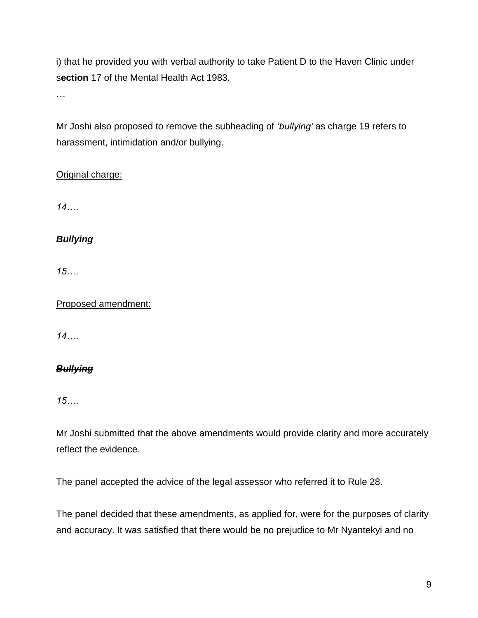i) that he provided you with verbal authority to take Patient D to the Haven Clinic under s**ection** 17 of the Mental Health Act 1983.

…

Mr Joshi also proposed to remove the subheading of *'bullying'* as charge 19 refers to harassment, intimidation and/or bullying.

# Original charge:

*14….*

*Bullying*

*15….*

Proposed amendment:

*14….*

# *Bullying*

*15….*

Mr Joshi submitted that the above amendments would provide clarity and more accurately reflect the evidence.

The panel accepted the advice of the legal assessor who referred it to Rule 28.

The panel decided that these amendments, as applied for, were for the purposes of clarity and accuracy. It was satisfied that there would be no prejudice to Mr Nyantekyi and no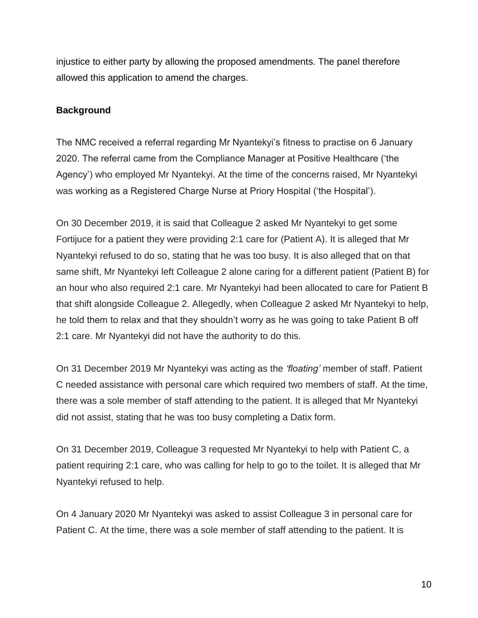injustice to either party by allowing the proposed amendments. The panel therefore allowed this application to amend the charges.

# **Background**

The NMC received a referral regarding Mr Nyantekyi's fitness to practise on 6 January 2020. The referral came from the Compliance Manager at Positive Healthcare ('the Agency') who employed Mr Nyantekyi. At the time of the concerns raised, Mr Nyantekyi was working as a Registered Charge Nurse at Priory Hospital ('the Hospital').

On 30 December 2019, it is said that Colleague 2 asked Mr Nyantekyi to get some Fortijuce for a patient they were providing 2:1 care for (Patient A). It is alleged that Mr Nyantekyi refused to do so, stating that he was too busy. It is also alleged that on that same shift, Mr Nyantekyi left Colleague 2 alone caring for a different patient (Patient B) for an hour who also required 2:1 care. Mr Nyantekyi had been allocated to care for Patient B that shift alongside Colleague 2. Allegedly, when Colleague 2 asked Mr Nyantekyi to help, he told them to relax and that they shouldn't worry as he was going to take Patient B off 2:1 care. Mr Nyantekyi did not have the authority to do this.

On 31 December 2019 Mr Nyantekyi was acting as the *'floating'* member of staff. Patient C needed assistance with personal care which required two members of staff. At the time, there was a sole member of staff attending to the patient. It is alleged that Mr Nyantekyi did not assist, stating that he was too busy completing a Datix form.

On 31 December 2019, Colleague 3 requested Mr Nyantekyi to help with Patient C, a patient requiring 2:1 care, who was calling for help to go to the toilet. It is alleged that Mr Nyantekyi refused to help.

On 4 January 2020 Mr Nyantekyi was asked to assist Colleague 3 in personal care for Patient C. At the time, there was a sole member of staff attending to the patient. It is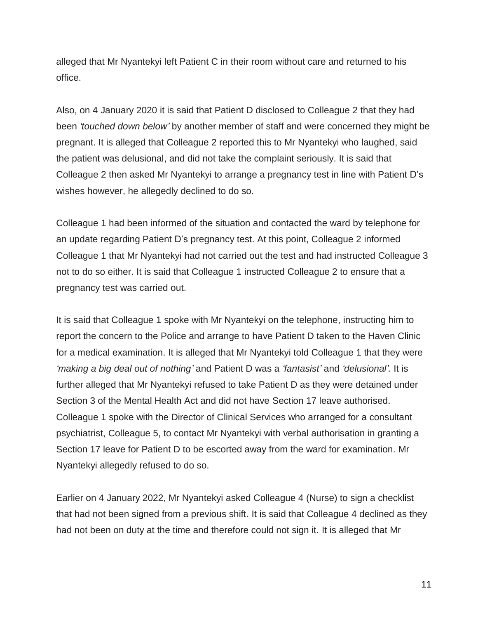alleged that Mr Nyantekyi left Patient C in their room without care and returned to his office.

Also, on 4 January 2020 it is said that Patient D disclosed to Colleague 2 that they had been *'touched down below'* by another member of staff and were concerned they might be pregnant. It is alleged that Colleague 2 reported this to Mr Nyantekyi who laughed, said the patient was delusional, and did not take the complaint seriously. It is said that Colleague 2 then asked Mr Nyantekyi to arrange a pregnancy test in line with Patient D's wishes however, he allegedly declined to do so.

Colleague 1 had been informed of the situation and contacted the ward by telephone for an update regarding Patient D's pregnancy test. At this point, Colleague 2 informed Colleague 1 that Mr Nyantekyi had not carried out the test and had instructed Colleague 3 not to do so either. It is said that Colleague 1 instructed Colleague 2 to ensure that a pregnancy test was carried out.

It is said that Colleague 1 spoke with Mr Nyantekyi on the telephone, instructing him to report the concern to the Police and arrange to have Patient D taken to the Haven Clinic for a medical examination. It is alleged that Mr Nyantekyi told Colleague 1 that they were *'making a big deal out of nothing'* and Patient D was a *'fantasist'* and *'delusional'.* It is further alleged that Mr Nyantekyi refused to take Patient D as they were detained under Section 3 of the Mental Health Act and did not have Section 17 leave authorised. Colleague 1 spoke with the Director of Clinical Services who arranged for a consultant psychiatrist, Colleague 5, to contact Mr Nyantekyi with verbal authorisation in granting a Section 17 leave for Patient D to be escorted away from the ward for examination. Mr Nyantekyi allegedly refused to do so.

Earlier on 4 January 2022, Mr Nyantekyi asked Colleague 4 (Nurse) to sign a checklist that had not been signed from a previous shift. It is said that Colleague 4 declined as they had not been on duty at the time and therefore could not sign it. It is alleged that Mr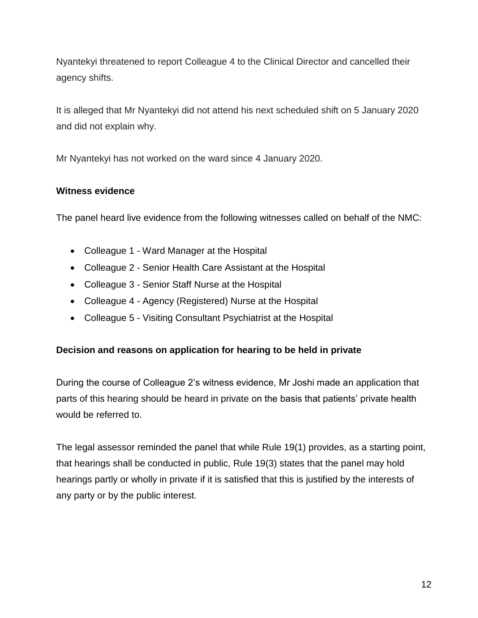Nyantekyi threatened to report Colleague 4 to the Clinical Director and cancelled their agency shifts.

It is alleged that Mr Nyantekyi did not attend his next scheduled shift on 5 January 2020 and did not explain why.

Mr Nyantekyi has not worked on the ward since 4 January 2020.

#### **Witness evidence**

The panel heard live evidence from the following witnesses called on behalf of the NMC:

- Colleague 1 Ward Manager at the Hospital
- Colleague 2 Senior Health Care Assistant at the Hospital
- Colleague 3 Senior Staff Nurse at the Hospital
- Colleague 4 Agency (Registered) Nurse at the Hospital
- Colleague 5 Visiting Consultant Psychiatrist at the Hospital

#### **Decision and reasons on application for hearing to be held in private**

During the course of Colleague 2's witness evidence, Mr Joshi made an application that parts of this hearing should be heard in private on the basis that patients' private health would be referred to.

The legal assessor reminded the panel that while Rule 19(1) provides, as a starting point, that hearings shall be conducted in public, Rule 19(3) states that the panel may hold hearings partly or wholly in private if it is satisfied that this is justified by the interests of any party or by the public interest.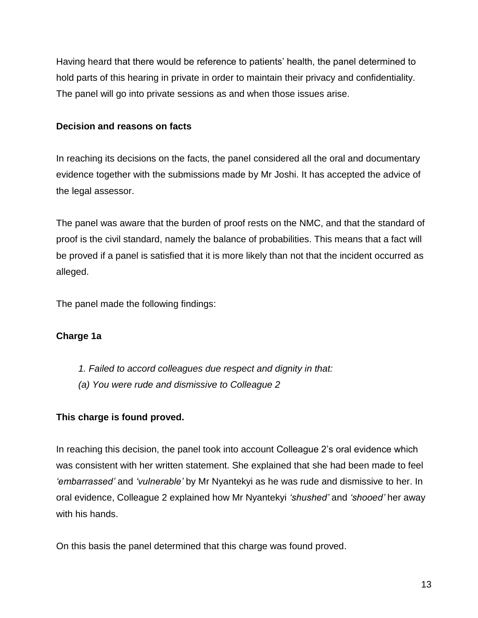Having heard that there would be reference to patients' health, the panel determined to hold parts of this hearing in private in order to maintain their privacy and confidentiality. The panel will go into private sessions as and when those issues arise.

# **Decision and reasons on facts**

In reaching its decisions on the facts, the panel considered all the oral and documentary evidence together with the submissions made by Mr Joshi. It has accepted the advice of the legal assessor.

The panel was aware that the burden of proof rests on the NMC, and that the standard of proof is the civil standard, namely the balance of probabilities. This means that a fact will be proved if a panel is satisfied that it is more likely than not that the incident occurred as alleged.

The panel made the following findings:

# **Charge 1a**

- *1. Failed to accord colleagues due respect and dignity in that:*
- *(a) You were rude and dismissive to Colleague 2*

# **This charge is found proved.**

In reaching this decision, the panel took into account Colleague 2's oral evidence which was consistent with her written statement. She explained that she had been made to feel *'embarrassed'* and *'vulnerable'* by Mr Nyantekyi as he was rude and dismissive to her. In oral evidence, Colleague 2 explained how Mr Nyantekyi *'shushed'* and *'shooed'* her away with his hands.

On this basis the panel determined that this charge was found proved.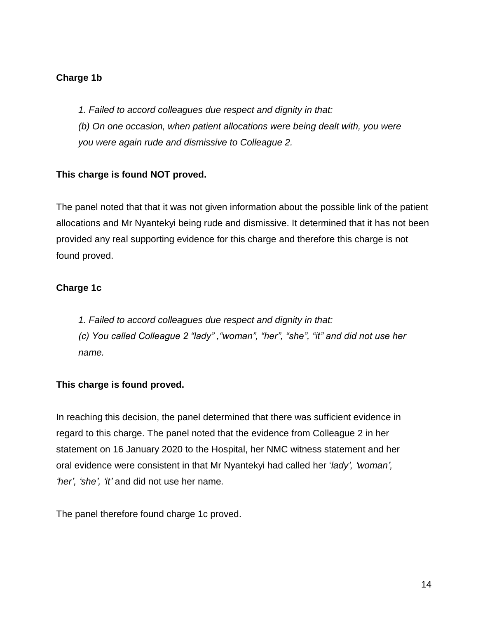# **Charge 1b**

- *1. Failed to accord colleagues due respect and dignity in that:*
- *(b) On one occasion, when patient allocations were being dealt with, you were you were again rude and dismissive to Colleague 2.*

# **This charge is found NOT proved.**

The panel noted that that it was not given information about the possible link of the patient allocations and Mr Nyantekyi being rude and dismissive. It determined that it has not been provided any real supporting evidence for this charge and therefore this charge is not found proved.

# **Charge 1c**

*1. Failed to accord colleagues due respect and dignity in that:*

*(c) You called Colleague 2 "lady" ,"woman", "her", "she", "it" and did not use her name.*

# **This charge is found proved.**

In reaching this decision, the panel determined that there was sufficient evidence in regard to this charge. The panel noted that the evidence from Colleague 2 in her statement on 16 January 2020 to the Hospital, her NMC witness statement and her oral evidence were consistent in that Mr Nyantekyi had called her '*lady', 'woman', 'her', 'she', 'it'* and did not use her name*.*

The panel therefore found charge 1c proved.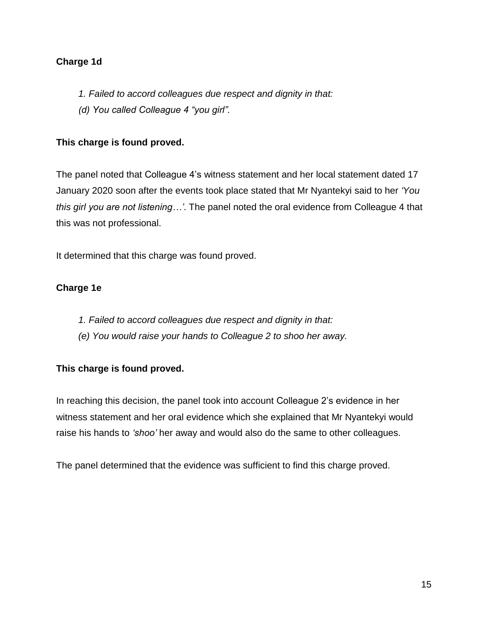# **Charge 1d**

- *1. Failed to accord colleagues due respect and dignity in that:*
- *(d) You called Colleague 4 "you girl".*

# **This charge is found proved.**

The panel noted that Colleague 4's witness statement and her local statement dated 17 January 2020 soon after the events took place stated that Mr Nyantekyi said to her *'You this girl you are not listening…'*. The panel noted the oral evidence from Colleague 4 that this was not professional.

It determined that this charge was found proved.

# **Charge 1e**

- *1. Failed to accord colleagues due respect and dignity in that:*
- *(e) You would raise your hands to Colleague 2 to shoo her away.*

# **This charge is found proved.**

In reaching this decision, the panel took into account Colleague 2's evidence in her witness statement and her oral evidence which she explained that Mr Nyantekyi would raise his hands to *'shoo'* her away and would also do the same to other colleagues.

The panel determined that the evidence was sufficient to find this charge proved.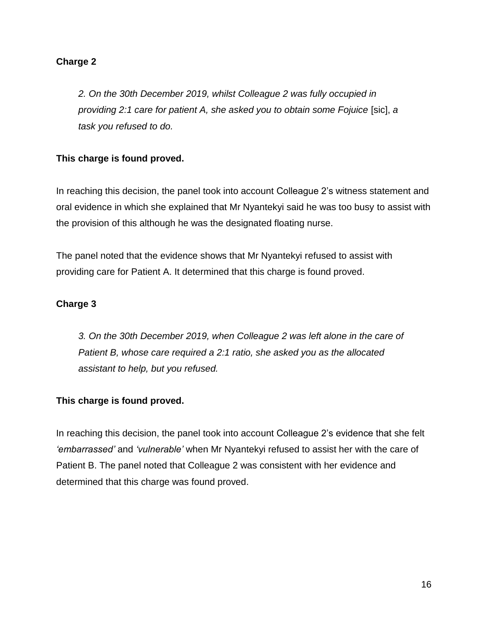# **Charge 2**

*2. On the 30th December 2019, whilst Colleague 2 was fully occupied in providing 2:1 care for patient A, she asked you to obtain some Fojuice* [sic], *a task you refused to do.*

# **This charge is found proved.**

In reaching this decision, the panel took into account Colleague 2's witness statement and oral evidence in which she explained that Mr Nyantekyi said he was too busy to assist with the provision of this although he was the designated floating nurse.

The panel noted that the evidence shows that Mr Nyantekyi refused to assist with providing care for Patient A. It determined that this charge is found proved.

# **Charge 3**

*3. On the 30th December 2019, when Colleague 2 was left alone in the care of Patient B, whose care required a 2:1 ratio, she asked you as the allocated assistant to help, but you refused.*

# **This charge is found proved.**

In reaching this decision, the panel took into account Colleague 2's evidence that she felt *'embarrassed'* and *'vulnerable'* when Mr Nyantekyi refused to assist her with the care of Patient B. The panel noted that Colleague 2 was consistent with her evidence and determined that this charge was found proved.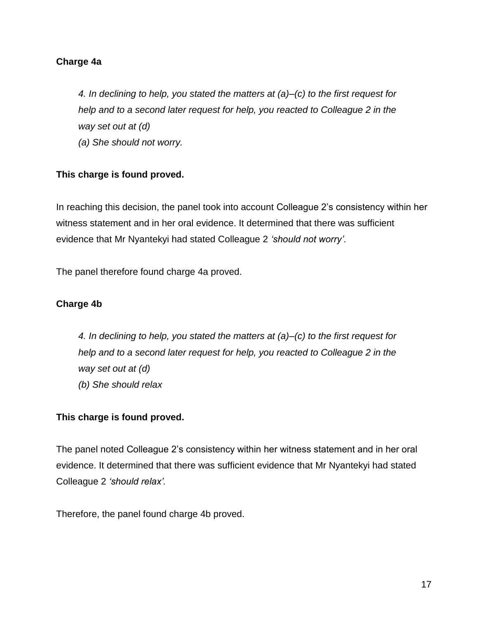### **Charge 4a**

*4. In declining to help, you stated the matters at (a)–(c) to the first request for help and to a second later request for help, you reacted to Colleague 2 in the way set out at (d) (a) She should not worry.*

#### **This charge is found proved.**

In reaching this decision, the panel took into account Colleague 2's consistency within her witness statement and in her oral evidence. It determined that there was sufficient evidence that Mr Nyantekyi had stated Colleague 2 *'should not worry'*.

The panel therefore found charge 4a proved.

#### **Charge 4b**

*4. In declining to help, you stated the matters at (a)–(c) to the first request for help and to a second later request for help, you reacted to Colleague 2 in the way set out at (d) (b) She should relax*

#### **This charge is found proved.**

The panel noted Colleague 2's consistency within her witness statement and in her oral evidence. It determined that there was sufficient evidence that Mr Nyantekyi had stated Colleague 2 *'should relax'.*

Therefore, the panel found charge 4b proved.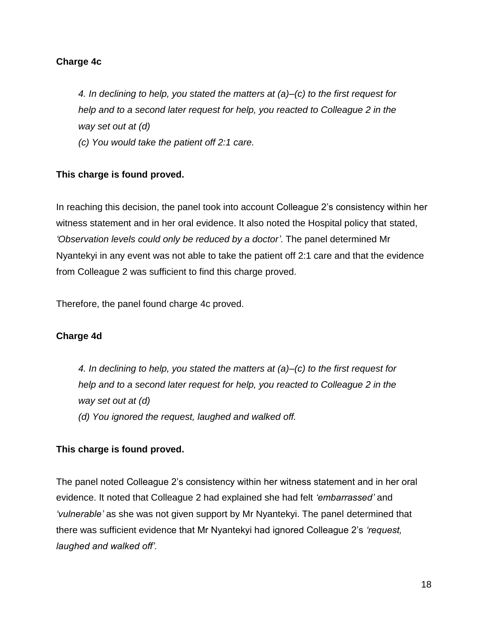### **Charge 4c**

*4. In declining to help, you stated the matters at (a)–(c) to the first request for help and to a second later request for help, you reacted to Colleague 2 in the way set out at (d)*

*(c) You would take the patient off 2:1 care.*

#### **This charge is found proved.**

In reaching this decision, the panel took into account Colleague 2's consistency within her witness statement and in her oral evidence. It also noted the Hospital policy that stated, *'Observation levels could only be reduced by a doctor'*. The panel determined Mr Nyantekyi in any event was not able to take the patient off 2:1 care and that the evidence from Colleague 2 was sufficient to find this charge proved.

Therefore, the panel found charge 4c proved.

# **Charge 4d**

*4. In declining to help, you stated the matters at (a)–(c) to the first request for help and to a second later request for help, you reacted to Colleague 2 in the way set out at (d)*

*(d) You ignored the request, laughed and walked off.*

#### **This charge is found proved.**

The panel noted Colleague 2's consistency within her witness statement and in her oral evidence. It noted that Colleague 2 had explained she had felt *'embarrassed'* and *'vulnerable'* as she was not given support by Mr Nyantekyi. The panel determined that there was sufficient evidence that Mr Nyantekyi had ignored Colleague 2's *'request, laughed and walked off'.*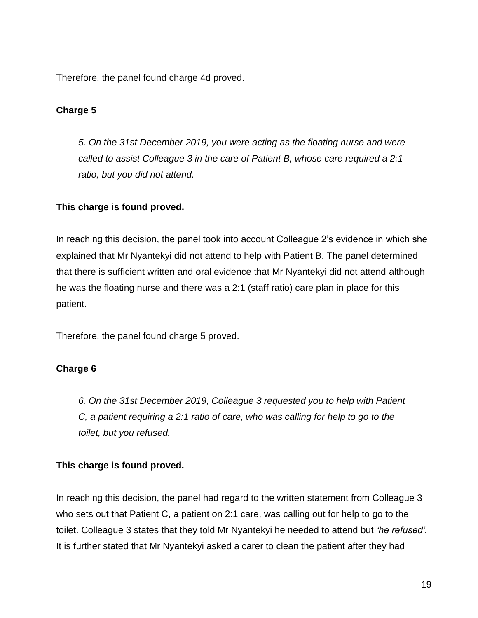Therefore, the panel found charge 4d proved.

# **Charge 5**

*5. On the 31st December 2019, you were acting as the floating nurse and were called to assist Colleague 3 in the care of Patient B, whose care required a 2:1 ratio, but you did not attend.*

# **This charge is found proved.**

In reaching this decision, the panel took into account Colleague 2's evidence in which she explained that Mr Nyantekyi did not attend to help with Patient B. The panel determined that there is sufficient written and oral evidence that Mr Nyantekyi did not attend although he was the floating nurse and there was a 2:1 (staff ratio) care plan in place for this patient.

Therefore, the panel found charge 5 proved.

# **Charge 6**

*6. On the 31st December 2019, Colleague 3 requested you to help with Patient C, a patient requiring a 2:1 ratio of care, who was calling for help to go to the toilet, but you refused.*

# **This charge is found proved.**

In reaching this decision, the panel had regard to the written statement from Colleague 3 who sets out that Patient C, a patient on 2:1 care, was calling out for help to go to the toilet. Colleague 3 states that they told Mr Nyantekyi he needed to attend but *'he refused'.*  It is further stated that Mr Nyantekyi asked a carer to clean the patient after they had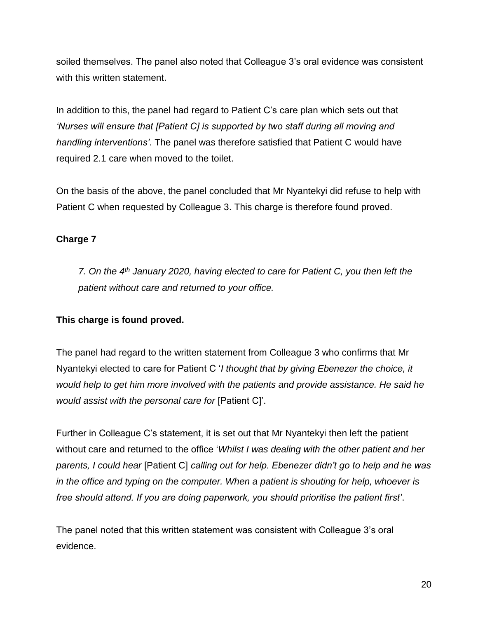soiled themselves. The panel also noted that Colleague 3's oral evidence was consistent with this written statement.

In addition to this, the panel had regard to Patient C's care plan which sets out that *'Nurses will ensure that [Patient C] is supported by two staff during all moving and handling interventions'*. The panel was therefore satisfied that Patient C would have required 2.1 care when moved to the toilet.

On the basis of the above, the panel concluded that Mr Nyantekyi did refuse to help with Patient C when requested by Colleague 3. This charge is therefore found proved.

# **Charge 7**

*7. On the 4th January 2020, having elected to care for Patient C, you then left the patient without care and returned to your office.*

# **This charge is found proved.**

The panel had regard to the written statement from Colleague 3 who confirms that Mr Nyantekyi elected to care for Patient C '*I thought that by giving Ebenezer the choice, it would help to get him more involved with the patients and provide assistance. He said he would assist with the personal care for* [Patient C]'.

Further in Colleague C's statement, it is set out that Mr Nyantekyi then left the patient without care and returned to the office '*Whilst I was dealing with the other patient and her parents, I could hear* [Patient C] *calling out for help. Ebenezer didn't go to help and he was in the office and typing on the computer. When a patient is shouting for help, whoever is free should attend. If you are doing paperwork, you should prioritise the patient first'*.

The panel noted that this written statement was consistent with Colleague 3's oral evidence.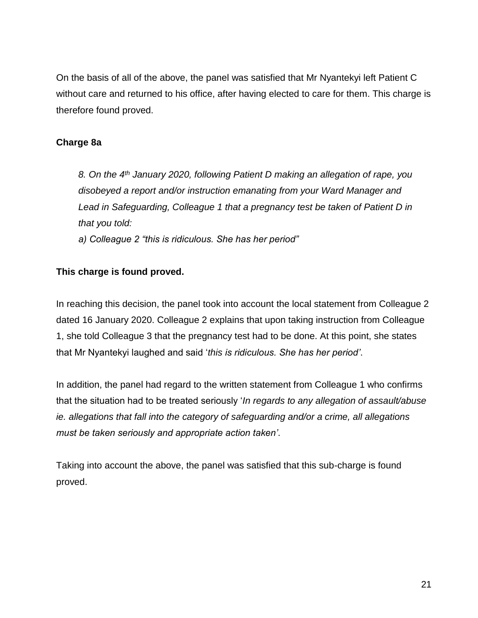On the basis of all of the above, the panel was satisfied that Mr Nyantekyi left Patient C without care and returned to his office, after having elected to care for them. This charge is therefore found proved.

# **Charge 8a**

*8. On the 4th January 2020, following Patient D making an allegation of rape, you disobeyed a report and/or instruction emanating from your Ward Manager and Lead in Safeguarding, Colleague 1 that a pregnancy test be taken of Patient D in that you told:*

*a) Colleague 2 "this is ridiculous. She has her period"*

# **This charge is found proved.**

In reaching this decision, the panel took into account the local statement from Colleague 2 dated 16 January 2020. Colleague 2 explains that upon taking instruction from Colleague 1, she told Colleague 3 that the pregnancy test had to be done. At this point, she states that Mr Nyantekyi laughed and said '*this is ridiculous. She has her period'*.

In addition, the panel had regard to the written statement from Colleague 1 who confirms that the situation had to be treated seriously '*In regards to any allegation of assault/abuse ie. allegations that fall into the category of safeguarding and/or a crime, all allegations must be taken seriously and appropriate action taken'*.

Taking into account the above, the panel was satisfied that this sub-charge is found proved.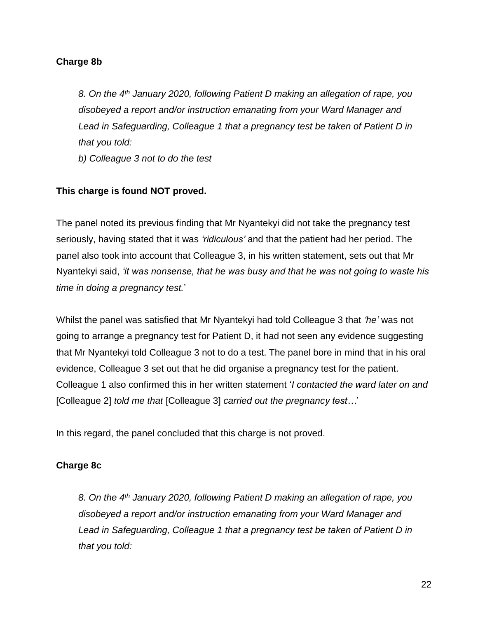### **Charge 8b**

*8. On the 4th January 2020, following Patient D making an allegation of rape, you disobeyed a report and/or instruction emanating from your Ward Manager and Lead in Safeguarding, Colleague 1 that a pregnancy test be taken of Patient D in that you told:*

*b) Colleague 3 not to do the test*

# **This charge is found NOT proved.**

The panel noted its previous finding that Mr Nyantekyi did not take the pregnancy test seriously, having stated that it was *'ridiculous'* and that the patient had her period. The panel also took into account that Colleague 3, in his written statement, sets out that Mr Nyantekyi said, *'it was nonsense, that he was busy and that he was not going to waste his time in doing a pregnancy test.*'

Whilst the panel was satisfied that Mr Nyantekyi had told Colleague 3 that *'he'* was not going to arrange a pregnancy test for Patient D, it had not seen any evidence suggesting that Mr Nyantekyi told Colleague 3 not to do a test. The panel bore in mind that in his oral evidence, Colleague 3 set out that he did organise a pregnancy test for the patient. Colleague 1 also confirmed this in her written statement '*I contacted the ward later on and*  [Colleague 2] *told me that* [Colleague 3] *carried out the pregnancy test…*'

In this regard, the panel concluded that this charge is not proved.

# **Charge 8c**

*8. On the 4th January 2020, following Patient D making an allegation of rape, you disobeyed a report and/or instruction emanating from your Ward Manager and Lead in Safeguarding, Colleague 1 that a pregnancy test be taken of Patient D in that you told:*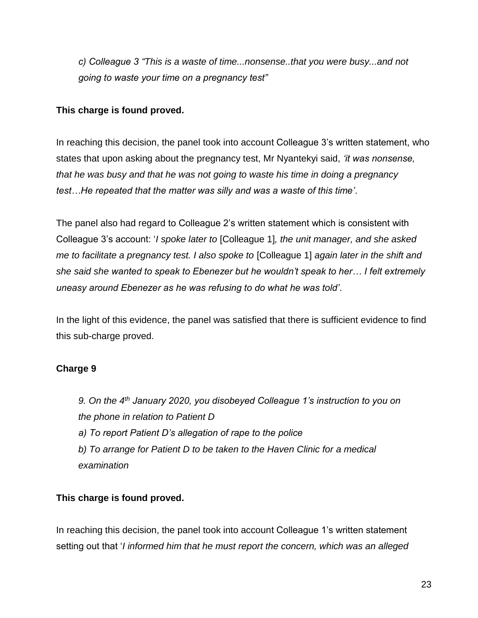*c) Colleague 3 "This is a waste of time...nonsense..that you were busy...and not going to waste your time on a pregnancy test"*

### **This charge is found proved.**

In reaching this decision, the panel took into account Colleague 3's written statement, who states that upon asking about the pregnancy test, Mr Nyantekyi said, *'it was nonsense, that he was busy and that he was not going to waste his time in doing a pregnancy test…He repeated that the matter was silly and was a waste of this time'*.

The panel also had regard to Colleague 2's written statement which is consistent with Colleague 3's account: '*I spoke later to* [Colleague 1]*, the unit manager, and she asked me to facilitate a pregnancy test. I also spoke to* [Colleague 1] *again later in the shift and she said she wanted to speak to Ebenezer but he wouldn't speak to her… I felt extremely uneasy around Ebenezer as he was refusing to do what he was told'*.

In the light of this evidence, the panel was satisfied that there is sufficient evidence to find this sub-charge proved.

# **Charge 9**

*9. On the 4th January 2020, you disobeyed Colleague 1's instruction to you on the phone in relation to Patient D a) To report Patient D's allegation of rape to the police*

*b) To arrange for Patient D to be taken to the Haven Clinic for a medical examination*

# **This charge is found proved.**

In reaching this decision, the panel took into account Colleague 1's written statement setting out that '*I informed him that he must report the concern, which was an alleged*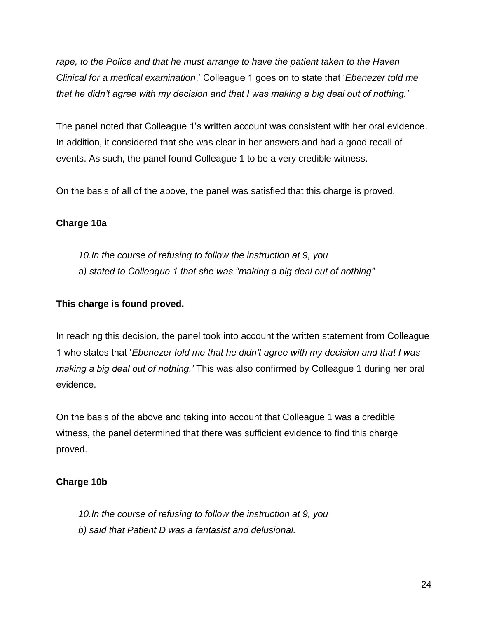*rape, to the Police and that he must arrange to have the patient taken to the Haven Clinical for a medical examination*.' Colleague 1 goes on to state that '*Ebenezer told me that he didn't agree with my decision and that I was making a big deal out of nothing.'*

The panel noted that Colleague 1's written account was consistent with her oral evidence. In addition, it considered that she was clear in her answers and had a good recall of events. As such, the panel found Colleague 1 to be a very credible witness.

On the basis of all of the above, the panel was satisfied that this charge is proved.

# **Charge 10a**

*10.In the course of refusing to follow the instruction at 9, you a) stated to Colleague 1 that she was "making a big deal out of nothing"*

# **This charge is found proved.**

In reaching this decision, the panel took into account the written statement from Colleague 1 who states that '*Ebenezer told me that he didn't agree with my decision and that I was making a big deal out of nothing.'* This was also confirmed by Colleague 1 during her oral evidence.

On the basis of the above and taking into account that Colleague 1 was a credible witness, the panel determined that there was sufficient evidence to find this charge proved.

# **Charge 10b**

*10.In the course of refusing to follow the instruction at 9, you b) said that Patient D was a fantasist and delusional.*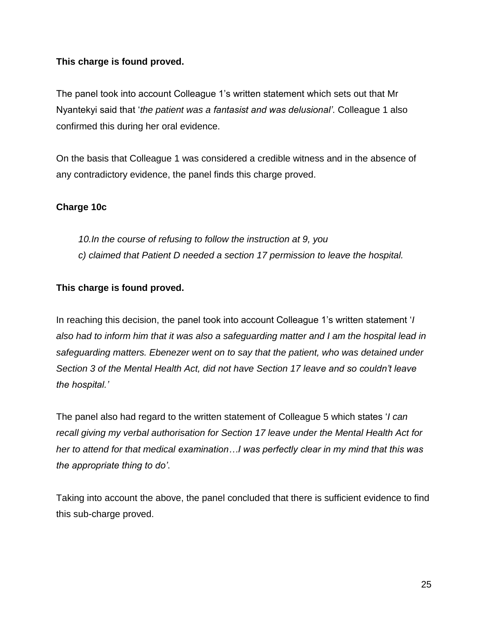# **This charge is found proved.**

The panel took into account Colleague 1's written statement which sets out that Mr Nyantekyi said that '*the patient was a fantasist and was delusional'*. Colleague 1 also confirmed this during her oral evidence.

On the basis that Colleague 1 was considered a credible witness and in the absence of any contradictory evidence, the panel finds this charge proved.

# **Charge 10c**

*10.In the course of refusing to follow the instruction at 9, you c) claimed that Patient D needed a section 17 permission to leave the hospital.*

# **This charge is found proved.**

In reaching this decision, the panel took into account Colleague 1's written statement '*I also had to inform him that it was also a safeguarding matter and I am the hospital lead in safeguarding matters. Ebenezer went on to say that the patient, who was detained under Section 3 of the Mental Health Act, did not have Section 17 leave and so couldn't leave the hospital.'*

The panel also had regard to the written statement of Colleague 5 which states '*I can recall giving my verbal authorisation for Section 17 leave under the Mental Health Act for her to attend for that medical examination…I was perfectly clear in my mind that this was the appropriate thing to do'*.

Taking into account the above, the panel concluded that there is sufficient evidence to find this sub-charge proved.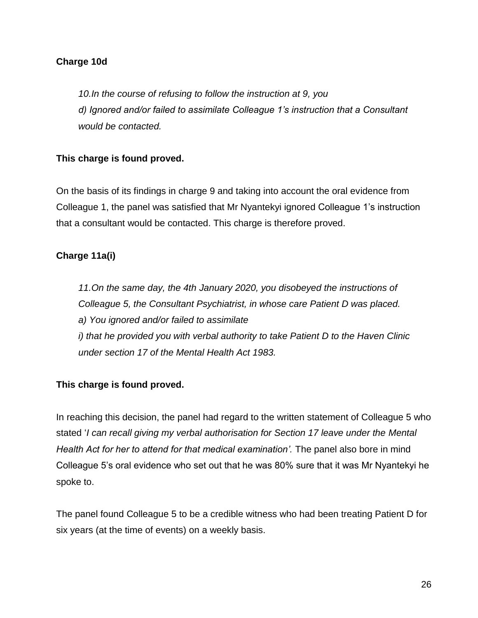### **Charge 10d**

*10.In the course of refusing to follow the instruction at 9, you d) Ignored and/or failed to assimilate Colleague 1's instruction that a Consultant would be contacted.*

#### **This charge is found proved.**

On the basis of its findings in charge 9 and taking into account the oral evidence from Colleague 1, the panel was satisfied that Mr Nyantekyi ignored Colleague 1's instruction that a consultant would be contacted. This charge is therefore proved.

#### **Charge 11a(i)**

*11.On the same day, the 4th January 2020, you disobeyed the instructions of Colleague 5, the Consultant Psychiatrist, in whose care Patient D was placed. a) You ignored and/or failed to assimilate i) that he provided you with verbal authority to take Patient D to the Haven Clinic under section 17 of the Mental Health Act 1983.*

# **This charge is found proved.**

In reaching this decision, the panel had regard to the written statement of Colleague 5 who stated '*I can recall giving my verbal authorisation for Section 17 leave under the Mental Health Act for her to attend for that medical examination'.* The panel also bore in mind Colleague 5's oral evidence who set out that he was 80% sure that it was Mr Nyantekyi he spoke to.

The panel found Colleague 5 to be a credible witness who had been treating Patient D for six years (at the time of events) on a weekly basis.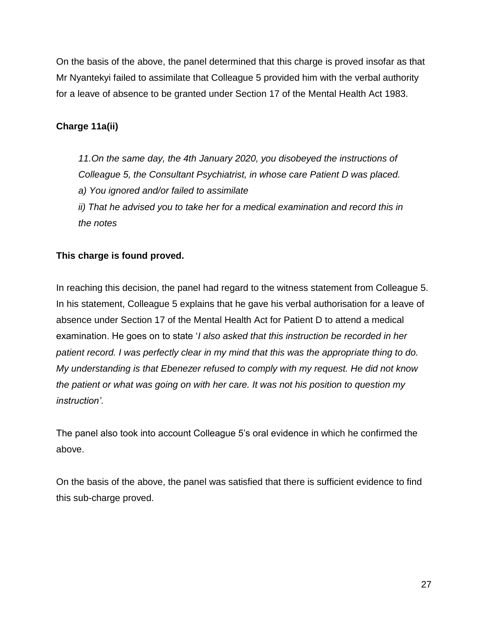On the basis of the above, the panel determined that this charge is proved insofar as that Mr Nyantekyi failed to assimilate that Colleague 5 provided him with the verbal authority for a leave of absence to be granted under Section 17 of the Mental Health Act 1983.

# **Charge 11a(ii)**

*11.On the same day, the 4th January 2020, you disobeyed the instructions of Colleague 5, the Consultant Psychiatrist, in whose care Patient D was placed. a) You ignored and/or failed to assimilate ii) That he advised you to take her for a medical examination and record this in the notes*

# **This charge is found proved.**

In reaching this decision, the panel had regard to the witness statement from Colleague 5. In his statement, Colleague 5 explains that he gave his verbal authorisation for a leave of absence under Section 17 of the Mental Health Act for Patient D to attend a medical examination. He goes on to state '*I also asked that this instruction be recorded in her patient record. I was perfectly clear in my mind that this was the appropriate thing to do. My understanding is that Ebenezer refused to comply with my request. He did not know the patient or what was going on with her care. It was not his position to question my instruction'*.

The panel also took into account Colleague 5's oral evidence in which he confirmed the above.

On the basis of the above, the panel was satisfied that there is sufficient evidence to find this sub-charge proved.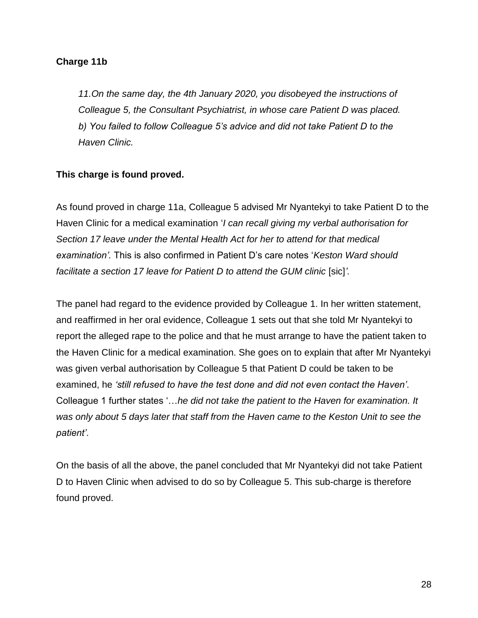#### **Charge 11b**

*11.On the same day, the 4th January 2020, you disobeyed the instructions of Colleague 5, the Consultant Psychiatrist, in whose care Patient D was placed. b) You failed to follow Colleague 5's advice and did not take Patient D to the Haven Clinic.*

# **This charge is found proved.**

As found proved in charge 11a, Colleague 5 advised Mr Nyantekyi to take Patient D to the Haven Clinic for a medical examination '*I can recall giving my verbal authorisation for Section 17 leave under the Mental Health Act for her to attend for that medical examination'.* This is also confirmed in Patient D's care notes '*Keston Ward should facilitate a section 17 leave for Patient D to attend the GUM clinic* [sic]*'.*

The panel had regard to the evidence provided by Colleague 1. In her written statement, and reaffirmed in her oral evidence, Colleague 1 sets out that she told Mr Nyantekyi to report the alleged rape to the police and that he must arrange to have the patient taken to the Haven Clinic for a medical examination. She goes on to explain that after Mr Nyantekyi was given verbal authorisation by Colleague 5 that Patient D could be taken to be examined, he *'still refused to have the test done and did not even contact the Haven'*. Colleague 1 further states '…*he did not take the patient to the Haven for examination. It was only about 5 days later that staff from the Haven came to the Keston Unit to see the patient'*.

On the basis of all the above, the panel concluded that Mr Nyantekyi did not take Patient D to Haven Clinic when advised to do so by Colleague 5. This sub-charge is therefore found proved.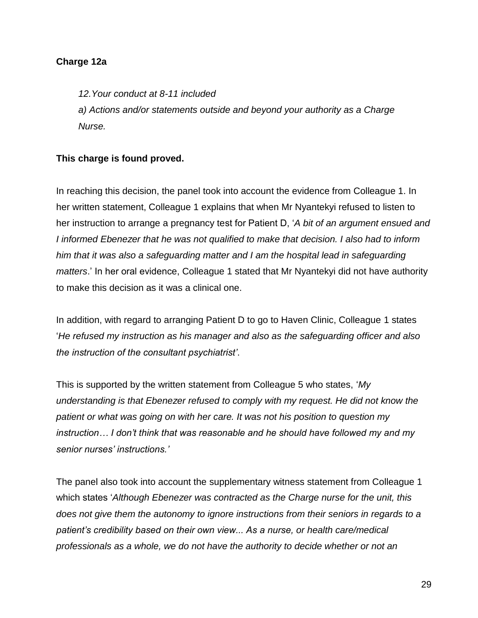#### **Charge 12a**

*12.Your conduct at 8-11 included a) Actions and/or statements outside and beyond your authority as a Charge Nurse.*

# **This charge is found proved.**

In reaching this decision, the panel took into account the evidence from Colleague 1. In her written statement, Colleague 1 explains that when Mr Nyantekyi refused to listen to her instruction to arrange a pregnancy test for Patient D, '*A bit of an argument ensued and I informed Ebenezer that he was not qualified to make that decision. I also had to inform him that it was also a safeguarding matter and I am the hospital lead in safeguarding matters*.' In her oral evidence, Colleague 1 stated that Mr Nyantekyi did not have authority to make this decision as it was a clinical one.

In addition, with regard to arranging Patient D to go to Haven Clinic, Colleague 1 states '*He refused my instruction as his manager and also as the safeguarding officer and also the instruction of the consultant psychiatrist'*.

This is supported by the written statement from Colleague 5 who states, '*My understanding is that Ebenezer refused to comply with my request. He did not know the patient or what was going on with her care. It was not his position to question my instruction… I don't think that was reasonable and he should have followed my and my senior nurses' instructions.'*

The panel also took into account the supplementary witness statement from Colleague 1 which states '*Although Ebenezer was contracted as the Charge nurse for the unit, this does not give them the autonomy to ignore instructions from their seniors in regards to a patient's credibility based on their own view... As a nurse, or health care/medical professionals as a whole, we do not have the authority to decide whether or not an*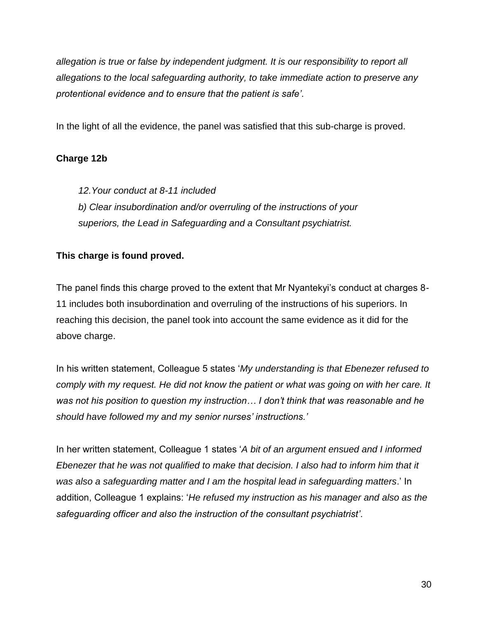*allegation is true or false by independent judgment. It is our responsibility to report all allegations to the local safeguarding authority, to take immediate action to preserve any protentional evidence and to ensure that the patient is safe'*.

In the light of all the evidence, the panel was satisfied that this sub-charge is proved.

# **Charge 12b**

*12.Your conduct at 8-11 included*

*b) Clear insubordination and/or overruling of the instructions of your superiors, the Lead in Safeguarding and a Consultant psychiatrist.*

# **This charge is found proved.**

The panel finds this charge proved to the extent that Mr Nyantekyi's conduct at charges 8- 11 includes both insubordination and overruling of the instructions of his superiors. In reaching this decision, the panel took into account the same evidence as it did for the above charge.

In his written statement, Colleague 5 states '*My understanding is that Ebenezer refused to comply with my request. He did not know the patient or what was going on with her care. It was not his position to question my instruction… I don't think that was reasonable and he should have followed my and my senior nurses' instructions.'*

In her written statement, Colleague 1 states '*A bit of an argument ensued and I informed Ebenezer that he was not qualified to make that decision. I also had to inform him that it was also a safeguarding matter and I am the hospital lead in safeguarding matters*.' In addition, Colleague 1 explains: '*He refused my instruction as his manager and also as the safeguarding officer and also the instruction of the consultant psychiatrist'*.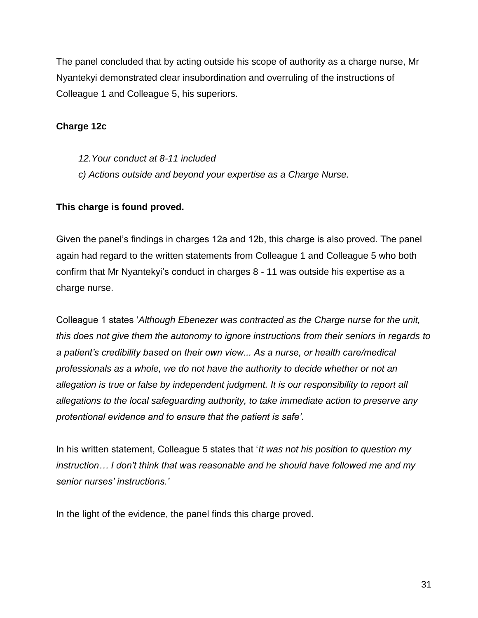The panel concluded that by acting outside his scope of authority as a charge nurse, Mr Nyantekyi demonstrated clear insubordination and overruling of the instructions of Colleague 1 and Colleague 5, his superiors.

# **Charge 12c**

*12.Your conduct at 8-11 included c) Actions outside and beyond your expertise as a Charge Nurse.*

# **This charge is found proved.**

Given the panel's findings in charges 12a and 12b, this charge is also proved. The panel again had regard to the written statements from Colleague 1 and Colleague 5 who both confirm that Mr Nyantekyi's conduct in charges 8 - 11 was outside his expertise as a charge nurse.

Colleague 1 states '*Although Ebenezer was contracted as the Charge nurse for the unit, this does not give them the autonomy to ignore instructions from their seniors in regards to a patient's credibility based on their own view... As a nurse, or health care/medical professionals as a whole, we do not have the authority to decide whether or not an allegation is true or false by independent judgment. It is our responsibility to report all allegations to the local safeguarding authority, to take immediate action to preserve any protentional evidence and to ensure that the patient is safe'*.

In his written statement, Colleague 5 states that '*It was not his position to question my instruction… I don't think that was reasonable and he should have followed me and my senior nurses' instructions.'*

In the light of the evidence, the panel finds this charge proved.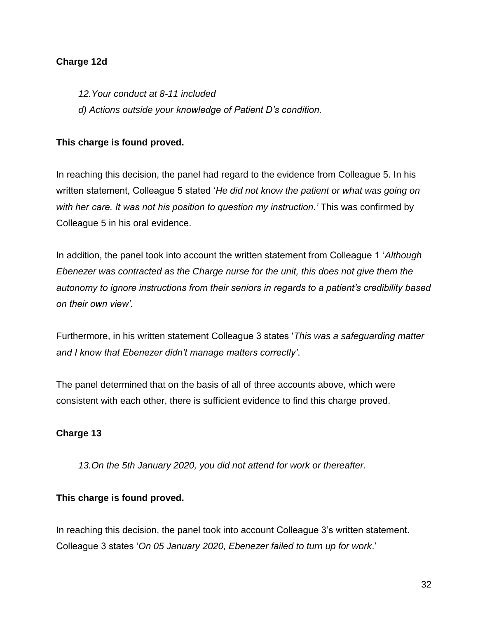### **Charge 12d**

*12.Your conduct at 8-11 included d) Actions outside your knowledge of Patient D's condition.*

# **This charge is found proved.**

In reaching this decision, the panel had regard to the evidence from Colleague 5. In his written statement, Colleague 5 stated '*He did not know the patient or what was going on with her care. It was not his position to question my instruction.'* This was confirmed by Colleague 5 in his oral evidence.

In addition, the panel took into account the written statement from Colleague 1 '*Although Ebenezer was contracted as the Charge nurse for the unit, this does not give them the autonomy to ignore instructions from their seniors in regards to a patient's credibility based on their own view'.*

Furthermore, in his written statement Colleague 3 states '*This was a safeguarding matter and I know that Ebenezer didn't manage matters correctly'*.

The panel determined that on the basis of all of three accounts above, which were consistent with each other, there is sufficient evidence to find this charge proved.

# **Charge 13**

*13.On the 5th January 2020, you did not attend for work or thereafter.*

# **This charge is found proved.**

In reaching this decision, the panel took into account Colleague 3's written statement. Colleague 3 states '*On 05 January 2020, Ebenezer failed to turn up for work*.'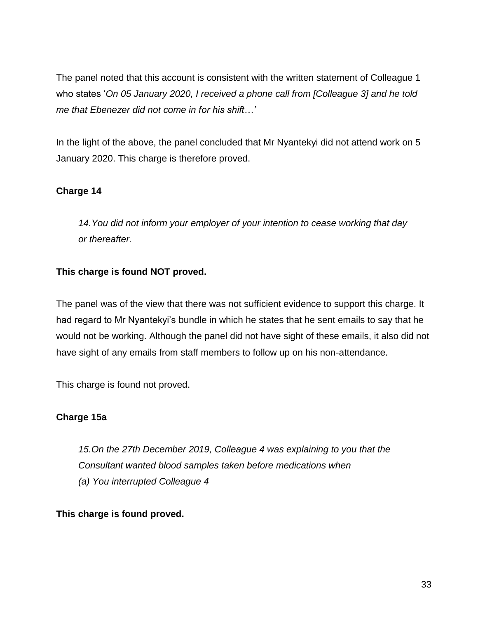The panel noted that this account is consistent with the written statement of Colleague 1 who states '*On 05 January 2020, I received a phone call from [Colleague 3] and he told me that Ebenezer did not come in for his shift…'*

In the light of the above, the panel concluded that Mr Nyantekyi did not attend work on 5 January 2020. This charge is therefore proved.

# **Charge 14**

*14.You did not inform your employer of your intention to cease working that day or thereafter.*

# **This charge is found NOT proved.**

The panel was of the view that there was not sufficient evidence to support this charge. It had regard to Mr Nyantekyi's bundle in which he states that he sent emails to say that he would not be working. Although the panel did not have sight of these emails, it also did not have sight of any emails from staff members to follow up on his non-attendance.

This charge is found not proved.

# **Charge 15a**

*15.On the 27th December 2019, Colleague 4 was explaining to you that the Consultant wanted blood samples taken before medications when (a) You interrupted Colleague 4*

# **This charge is found proved.**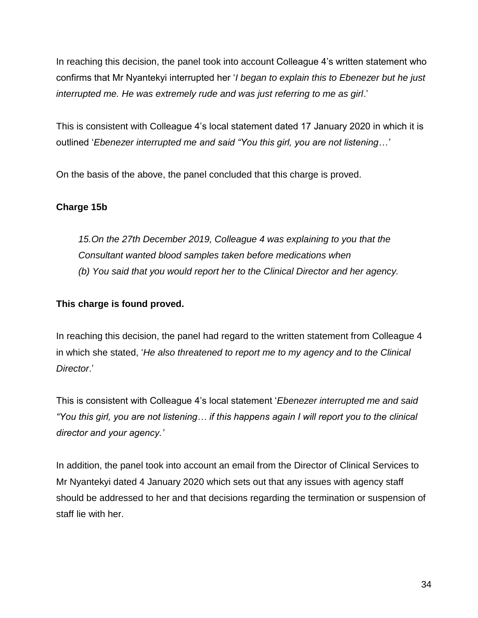In reaching this decision, the panel took into account Colleague 4's written statement who confirms that Mr Nyantekyi interrupted her '*I began to explain this to Ebenezer but he just interrupted me. He was extremely rude and was just referring to me as girl*.'

This is consistent with Colleague 4's local statement dated 17 January 2020 in which it is outlined '*Ebenezer interrupted me and said "You this girl, you are not listening…'*

On the basis of the above, the panel concluded that this charge is proved.

# **Charge 15b**

*15.On the 27th December 2019, Colleague 4 was explaining to you that the Consultant wanted blood samples taken before medications when (b) You said that you would report her to the Clinical Director and her agency.* 

# **This charge is found proved.**

In reaching this decision, the panel had regard to the written statement from Colleague 4 in which she stated, '*He also threatened to report me to my agency and to the Clinical Director*.'

This is consistent with Colleague 4's local statement '*Ebenezer interrupted me and said "You this girl, you are not listening… if this happens again I will report you to the clinical director and your agency.'*

In addition, the panel took into account an email from the Director of Clinical Services to Mr Nyantekyi dated 4 January 2020 which sets out that any issues with agency staff should be addressed to her and that decisions regarding the termination or suspension of staff lie with her.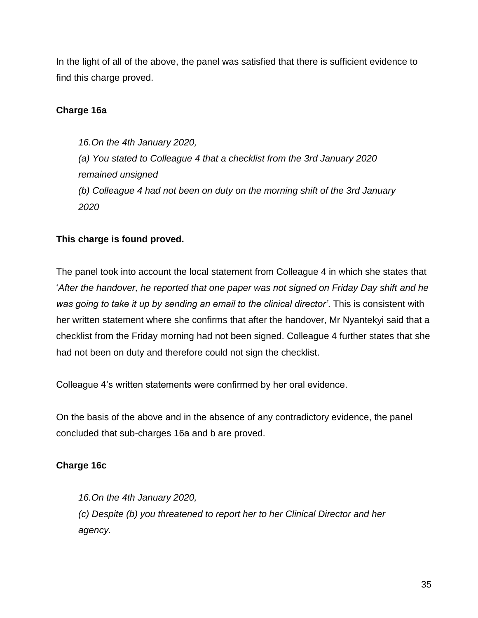In the light of all of the above, the panel was satisfied that there is sufficient evidence to find this charge proved.

# **Charge 16a**

*16.On the 4th January 2020, (a) You stated to Colleague 4 that a checklist from the 3rd January 2020 remained unsigned (b) Colleague 4 had not been on duty on the morning shift of the 3rd January 2020*

# **This charge is found proved.**

The panel took into account the local statement from Colleague 4 in which she states that *'After the handover, he reported that one paper was not signed on Friday Day shift and he was going to take it up by sending an email to the clinical director'*. This is consistent with her written statement where she confirms that after the handover, Mr Nyantekyi said that a checklist from the Friday morning had not been signed. Colleague 4 further states that she had not been on duty and therefore could not sign the checklist.

Colleague 4's written statements were confirmed by her oral evidence.

On the basis of the above and in the absence of any contradictory evidence, the panel concluded that sub-charges 16a and b are proved.

# **Charge 16c**

*16.On the 4th January 2020, (c) Despite (b) you threatened to report her to her Clinical Director and her agency.*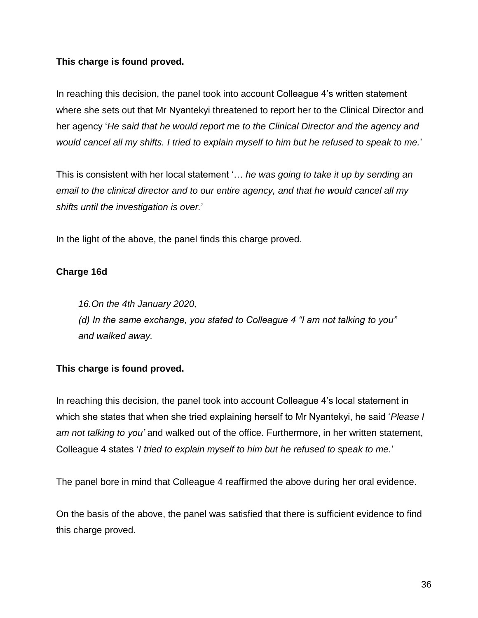# **This charge is found proved.**

In reaching this decision, the panel took into account Colleague 4's written statement where she sets out that Mr Nyantekyi threatened to report her to the Clinical Director and her agency '*He said that he would report me to the Clinical Director and the agency and would cancel all my shifts. I tried to explain myself to him but he refused to speak to me.*'

This is consistent with her local statement '… *he was going to take it up by sending an email to the clinical director and to our entire agency, and that he would cancel all my shifts until the investigation is over.*'

In the light of the above, the panel finds this charge proved.

# **Charge 16d**

*16.On the 4th January 2020,*

*(d) In the same exchange, you stated to Colleague 4 "I am not talking to you" and walked away.*

# **This charge is found proved.**

In reaching this decision, the panel took into account Colleague 4's local statement in which she states that when she tried explaining herself to Mr Nyantekyi, he said '*Please I am not talking to you'* and walked out of the office. Furthermore, in her written statement, Colleague 4 states '*I tried to explain myself to him but he refused to speak to me.*'

The panel bore in mind that Colleague 4 reaffirmed the above during her oral evidence.

On the basis of the above, the panel was satisfied that there is sufficient evidence to find this charge proved.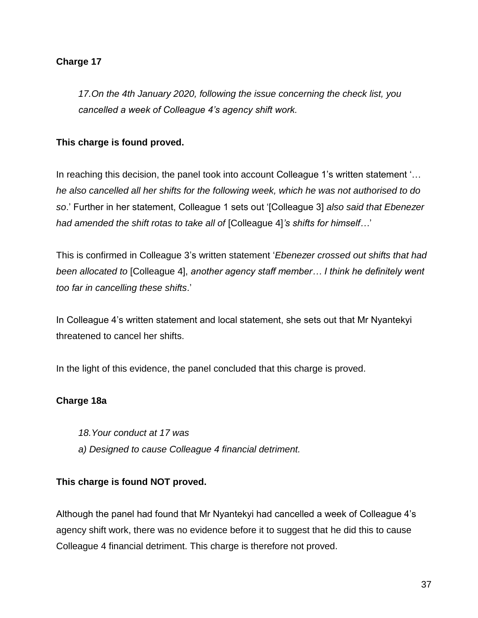# **Charge 17**

*17.On the 4th January 2020, following the issue concerning the check list, you cancelled a week of Colleague 4's agency shift work.* 

#### **This charge is found proved.**

In reaching this decision, the panel took into account Colleague 1's written statement '… *he also cancelled all her shifts for the following week, which he was not authorised to do so*.' Further in her statement, Colleague 1 sets out '[Colleague 3] *also said that Ebenezer had amended the shift rotas to take all of* [Colleague 4]*'s shifts for himself…*'

This is confirmed in Colleague 3's written statement '*Ebenezer crossed out shifts that had been allocated to* [Colleague 4], *another agency staff member… I think he definitely went too far in cancelling these shifts*.'

In Colleague 4's written statement and local statement, she sets out that Mr Nyantekyi threatened to cancel her shifts.

In the light of this evidence, the panel concluded that this charge is proved.

# **Charge 18a**

- *18.Your conduct at 17 was*
- *a) Designed to cause Colleague 4 financial detriment.*

#### **This charge is found NOT proved.**

Although the panel had found that Mr Nyantekyi had cancelled a week of Colleague 4's agency shift work, there was no evidence before it to suggest that he did this to cause Colleague 4 financial detriment. This charge is therefore not proved.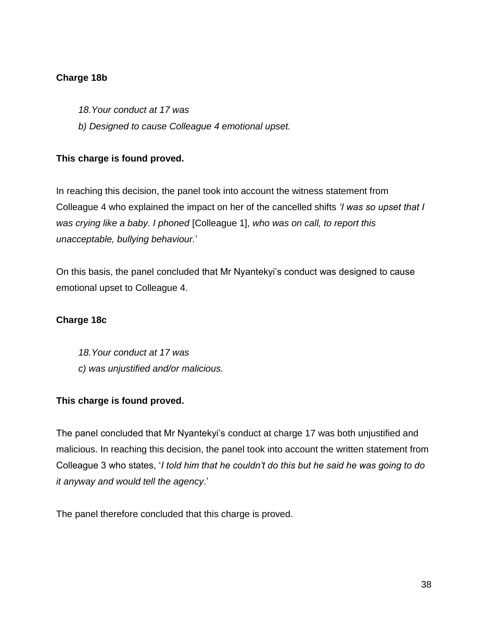# **Charge 18b**

- *18.Your conduct at 17 was*
- *b) Designed to cause Colleague 4 emotional upset.*

# **This charge is found proved.**

In reaching this decision, the panel took into account the witness statement from Colleague 4 who explained the impact on her of the cancelled shifts *'I was so upset that I was crying like a baby. I phoned* [Colleague 1], *who was on call, to report this unacceptable, bullying behaviour.*'

On this basis, the panel concluded that Mr Nyantekyi's conduct was designed to cause emotional upset to Colleague 4.

# **Charge 18c**

*18.Your conduct at 17 was c) was unjustified and/or malicious.*

# **This charge is found proved.**

The panel concluded that Mr Nyantekyi's conduct at charge 17 was both unjustified and malicious. In reaching this decision, the panel took into account the written statement from Colleague 3 who states, '*I told him that he couldn't do this but he said he was going to do it anyway and would tell the agency*.'

The panel therefore concluded that this charge is proved.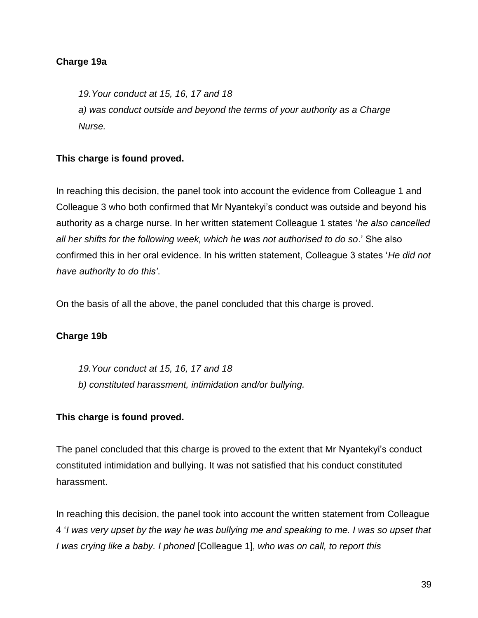#### **Charge 19a**

*19.Your conduct at 15, 16, 17 and 18 a) was conduct outside and beyond the terms of your authority as a Charge Nurse.*

# **This charge is found proved.**

In reaching this decision, the panel took into account the evidence from Colleague 1 and Colleague 3 who both confirmed that Mr Nyantekyi's conduct was outside and beyond his authority as a charge nurse. In her written statement Colleague 1 states '*he also cancelled all her shifts for the following week, which he was not authorised to do so*.' She also confirmed this in her oral evidence. In his written statement, Colleague 3 states '*He did not have authority to do this'*.

On the basis of all the above, the panel concluded that this charge is proved.

#### **Charge 19b**

*19.Your conduct at 15, 16, 17 and 18 b) constituted harassment, intimidation and/or bullying.*

#### **This charge is found proved.**

The panel concluded that this charge is proved to the extent that Mr Nyantekyi's conduct constituted intimidation and bullying. It was not satisfied that his conduct constituted harassment.

In reaching this decision, the panel took into account the written statement from Colleague 4 '*I was very upset by the way he was bullying me and speaking to me. I was so upset that I was crying like a baby. I phoned* [Colleague 1], *who was on call, to report this*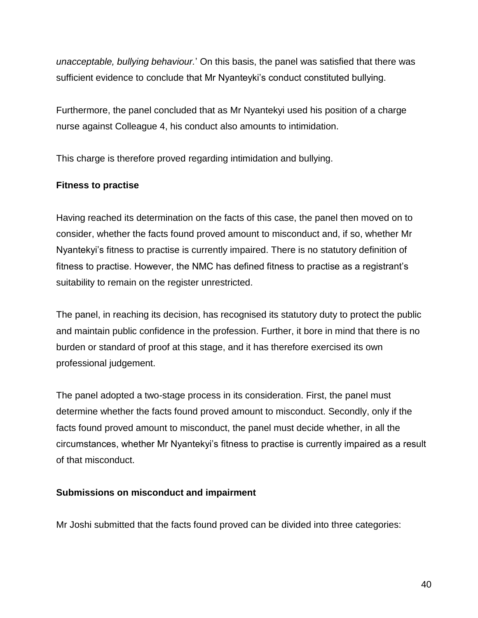*unacceptable, bullying behaviour.*' On this basis, the panel was satisfied that there was sufficient evidence to conclude that Mr Nyanteyki's conduct constituted bullying.

Furthermore, the panel concluded that as Mr Nyantekyi used his position of a charge nurse against Colleague 4, his conduct also amounts to intimidation.

This charge is therefore proved regarding intimidation and bullying.

#### **Fitness to practise**

Having reached its determination on the facts of this case, the panel then moved on to consider, whether the facts found proved amount to misconduct and, if so, whether Mr Nyantekyi's fitness to practise is currently impaired. There is no statutory definition of fitness to practise. However, the NMC has defined fitness to practise as a registrant's suitability to remain on the register unrestricted.

The panel, in reaching its decision, has recognised its statutory duty to protect the public and maintain public confidence in the profession. Further, it bore in mind that there is no burden or standard of proof at this stage, and it has therefore exercised its own professional judgement.

The panel adopted a two-stage process in its consideration. First, the panel must determine whether the facts found proved amount to misconduct. Secondly, only if the facts found proved amount to misconduct, the panel must decide whether, in all the circumstances, whether Mr Nyantekyi's fitness to practise is currently impaired as a result of that misconduct.

#### **Submissions on misconduct and impairment**

Mr Joshi submitted that the facts found proved can be divided into three categories: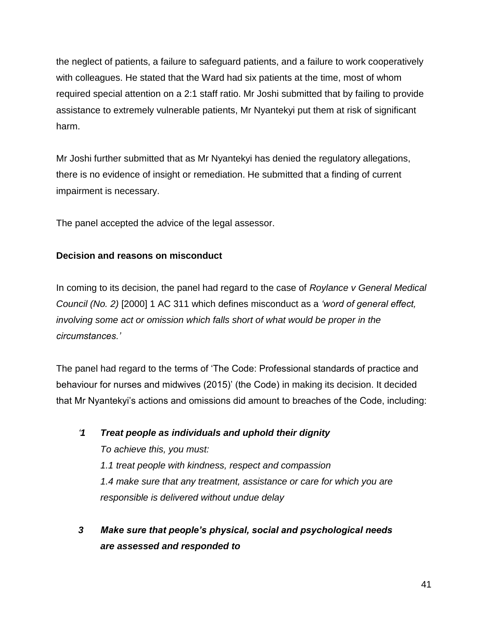the neglect of patients, a failure to safeguard patients, and a failure to work cooperatively with colleagues. He stated that the Ward had six patients at the time, most of whom required special attention on a 2:1 staff ratio. Mr Joshi submitted that by failing to provide assistance to extremely vulnerable patients, Mr Nyantekyi put them at risk of significant harm.

Mr Joshi further submitted that as Mr Nyantekyi has denied the regulatory allegations, there is no evidence of insight or remediation. He submitted that a finding of current impairment is necessary.

The panel accepted the advice of the legal assessor.

# **Decision and reasons on misconduct**

In coming to its decision, the panel had regard to the case of *Roylance v General Medical Council (No. 2)* [2000] 1 AC 311 which defines misconduct as a *'word of general effect, involving some act or omission which falls short of what would be proper in the circumstances.'*

The panel had regard to the terms of 'The Code: Professional standards of practice and behaviour for nurses and midwives (2015)' (the Code) in making its decision. It decided that Mr Nyantekyi's actions and omissions did amount to breaches of the Code, including:

*'1 Treat people as individuals and uphold their dignity To achieve this, you must: 1.1 treat people with kindness, respect and compassion 1.4 make sure that any treatment, assistance or care for which you are responsible is delivered without undue delay*

*3 Make sure that people's physical, social and psychological needs are assessed and responded to*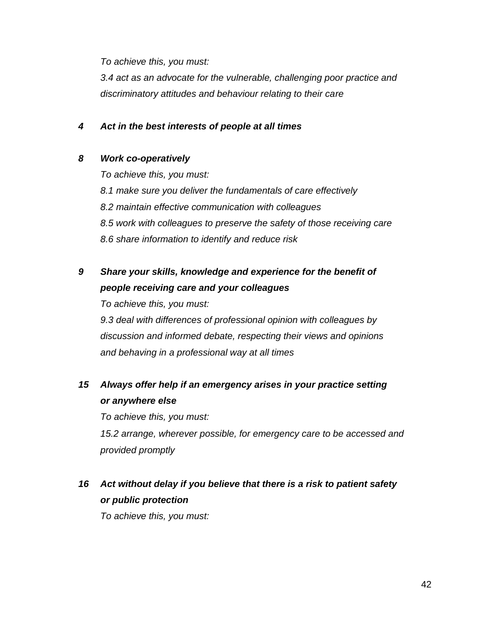*To achieve this, you must:* 

*3.4 act as an advocate for the vulnerable, challenging poor practice and discriminatory attitudes and behaviour relating to their care*

### *4 Act in the best interests of people at all times*

#### *8 Work co-operatively*

*To achieve this, you must: 8.1 make sure you deliver the fundamentals of care effectively 8.2 maintain effective communication with colleagues 8.5 work with colleagues to preserve the safety of those receiving care 8.6 share information to identify and reduce risk*

# *9 Share your skills, knowledge and experience for the benefit of people receiving care and your colleagues*

*To achieve this, you must: 9.3 deal with differences of professional opinion with colleagues by discussion and informed debate, respecting their views and opinions and behaving in a professional way at all times*

# *15 Always offer help if an emergency arises in your practice setting or anywhere else*

*To achieve this, you must: 15.2 arrange, wherever possible, for emergency care to be accessed and provided promptly*

# *16 Act without delay if you believe that there is a risk to patient safety or public protection*

*To achieve this, you must:*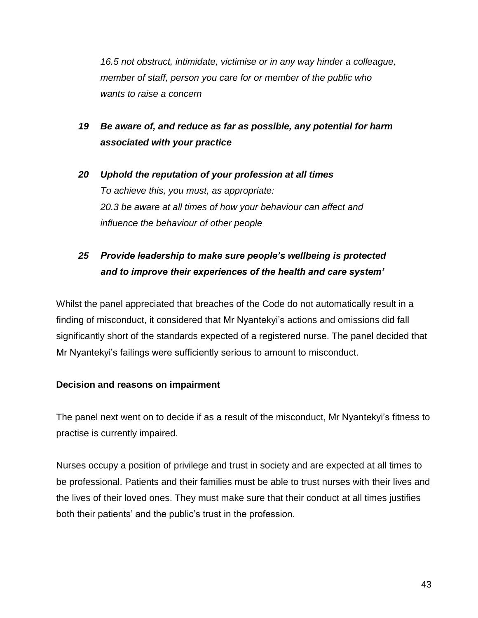*16.5 not obstruct, intimidate, victimise or in any way hinder a colleague, member of staff, person you care for or member of the public who wants to raise a concern*

# *19 Be aware of, and reduce as far as possible, any potential for harm associated with your practice*

*20 Uphold the reputation of your profession at all times To achieve this, you must, as appropriate: 20.3 be aware at all times of how your behaviour can affect and influence the behaviour of other people*

# *25 Provide leadership to make sure people's wellbeing is protected and to improve their experiences of the health and care system'*

Whilst the panel appreciated that breaches of the Code do not automatically result in a finding of misconduct, it considered that Mr Nyantekyi's actions and omissions did fall significantly short of the standards expected of a registered nurse. The panel decided that Mr Nyantekyi's failings were sufficiently serious to amount to misconduct.

# **Decision and reasons on impairment**

The panel next went on to decide if as a result of the misconduct, Mr Nyantekyi's fitness to practise is currently impaired.

Nurses occupy a position of privilege and trust in society and are expected at all times to be professional. Patients and their families must be able to trust nurses with their lives and the lives of their loved ones. They must make sure that their conduct at all times justifies both their patients' and the public's trust in the profession.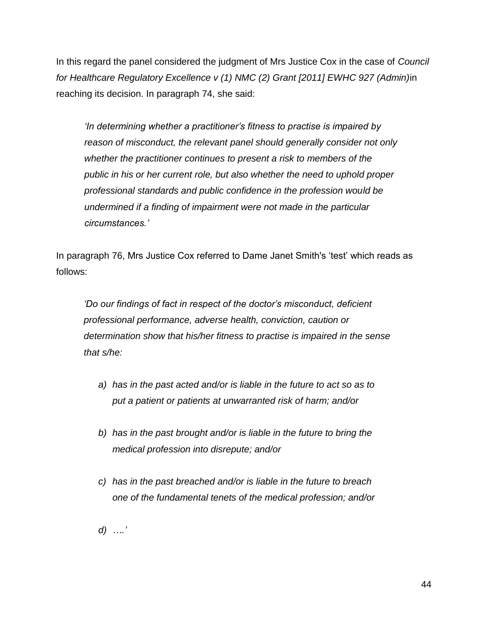In this regard the panel considered the judgment of Mrs Justice Cox in the case of *Council for Healthcare Regulatory Excellence v (1) NMC (2) Grant [2011] EWHC 927 (Admin)*in reaching its decision. In paragraph 74, she said:

*'In determining whether a practitioner's fitness to practise is impaired by reason of misconduct, the relevant panel should generally consider not only whether the practitioner continues to present a risk to members of the public in his or her current role, but also whether the need to uphold proper professional standards and public confidence in the profession would be undermined if a finding of impairment were not made in the particular circumstances.'*

In paragraph 76, Mrs Justice Cox referred to Dame Janet Smith's 'test' which reads as follows:

*'Do our findings of fact in respect of the doctor's misconduct, deficient professional performance, adverse health, conviction, caution or determination show that his/her fitness to practise is impaired in the sense that s/he:*

- *a) has in the past acted and/or is liable in the future to act so as to put a patient or patients at unwarranted risk of harm; and/or*
- *b) has in the past brought and/or is liable in the future to bring the medical profession into disrepute; and/or*
- *c) has in the past breached and/or is liable in the future to breach one of the fundamental tenets of the medical profession; and/or*
- *d) ….'*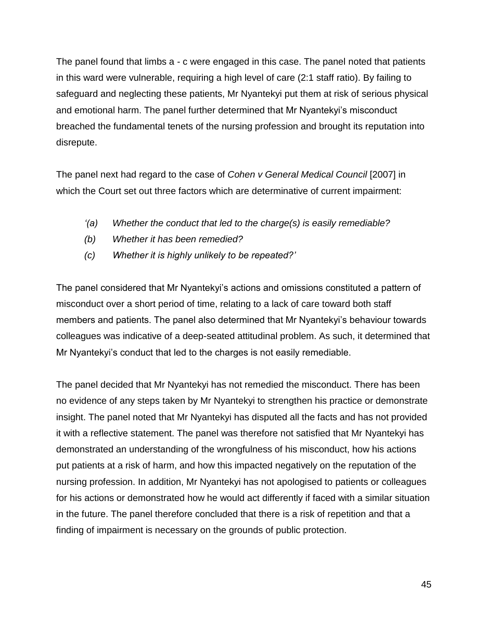The panel found that limbs a - c were engaged in this case. The panel noted that patients in this ward were vulnerable, requiring a high level of care (2:1 staff ratio). By failing to safeguard and neglecting these patients, Mr Nyantekyi put them at risk of serious physical and emotional harm. The panel further determined that Mr Nyantekyi's misconduct breached the fundamental tenets of the nursing profession and brought its reputation into disrepute.

The panel next had regard to the case of *Cohen v General Medical Council* [2007] in which the Court set out three factors which are determinative of current impairment:

- *'(a) Whether the conduct that led to the charge(s) is easily remediable?*
- *(b) Whether it has been remedied?*
- *(c) Whether it is highly unlikely to be repeated?'*

The panel considered that Mr Nyantekyi's actions and omissions constituted a pattern of misconduct over a short period of time, relating to a lack of care toward both staff members and patients. The panel also determined that Mr Nyantekyi's behaviour towards colleagues was indicative of a deep-seated attitudinal problem. As such, it determined that Mr Nyantekyi's conduct that led to the charges is not easily remediable.

The panel decided that Mr Nyantekyi has not remedied the misconduct. There has been no evidence of any steps taken by Mr Nyantekyi to strengthen his practice or demonstrate insight. The panel noted that Mr Nyantekyi has disputed all the facts and has not provided it with a reflective statement. The panel was therefore not satisfied that Mr Nyantekyi has demonstrated an understanding of the wrongfulness of his misconduct, how his actions put patients at a risk of harm, and how this impacted negatively on the reputation of the nursing profession. In addition, Mr Nyantekyi has not apologised to patients or colleagues for his actions or demonstrated how he would act differently if faced with a similar situation in the future. The panel therefore concluded that there is a risk of repetition and that a finding of impairment is necessary on the grounds of public protection.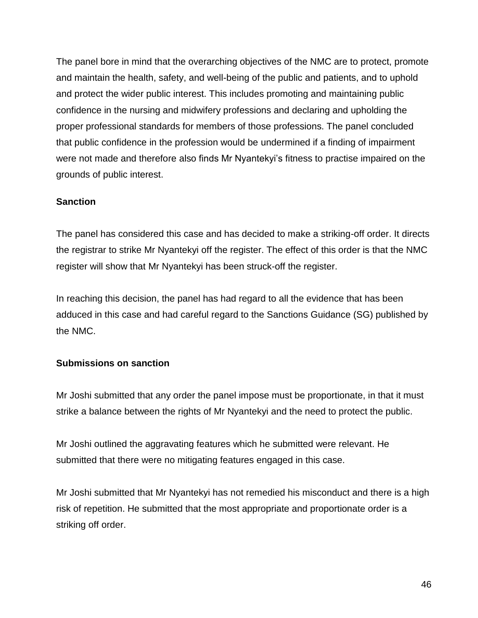The panel bore in mind that the overarching objectives of the NMC are to protect, promote and maintain the health, safety, and well-being of the public and patients, and to uphold and protect the wider public interest. This includes promoting and maintaining public confidence in the nursing and midwifery professions and declaring and upholding the proper professional standards for members of those professions. The panel concluded that public confidence in the profession would be undermined if a finding of impairment were not made and therefore also finds Mr Nyantekyi's fitness to practise impaired on the grounds of public interest.

# **Sanction**

The panel has considered this case and has decided to make a striking-off order. It directs the registrar to strike Mr Nyantekyi off the register. The effect of this order is that the NMC register will show that Mr Nyantekyi has been struck-off the register.

In reaching this decision, the panel has had regard to all the evidence that has been adduced in this case and had careful regard to the Sanctions Guidance (SG) published by the NMC.

# **Submissions on sanction**

Mr Joshi submitted that any order the panel impose must be proportionate, in that it must strike a balance between the rights of Mr Nyantekyi and the need to protect the public.

Mr Joshi outlined the aggravating features which he submitted were relevant. He submitted that there were no mitigating features engaged in this case.

Mr Joshi submitted that Mr Nyantekyi has not remedied his misconduct and there is a high risk of repetition. He submitted that the most appropriate and proportionate order is a striking off order.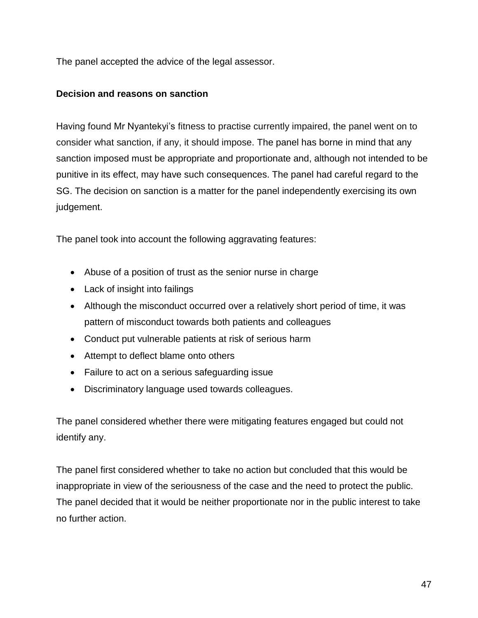The panel accepted the advice of the legal assessor.

# **Decision and reasons on sanction**

Having found Mr Nyantekyi's fitness to practise currently impaired, the panel went on to consider what sanction, if any, it should impose. The panel has borne in mind that any sanction imposed must be appropriate and proportionate and, although not intended to be punitive in its effect, may have such consequences. The panel had careful regard to the SG. The decision on sanction is a matter for the panel independently exercising its own judgement.

The panel took into account the following aggravating features:

- Abuse of a position of trust as the senior nurse in charge
- Lack of insight into failings
- Although the misconduct occurred over a relatively short period of time, it was pattern of misconduct towards both patients and colleagues
- Conduct put vulnerable patients at risk of serious harm
- Attempt to deflect blame onto others
- Failure to act on a serious safeguarding issue
- Discriminatory language used towards colleagues.

The panel considered whether there were mitigating features engaged but could not identify any.

The panel first considered whether to take no action but concluded that this would be inappropriate in view of the seriousness of the case and the need to protect the public. The panel decided that it would be neither proportionate nor in the public interest to take no further action.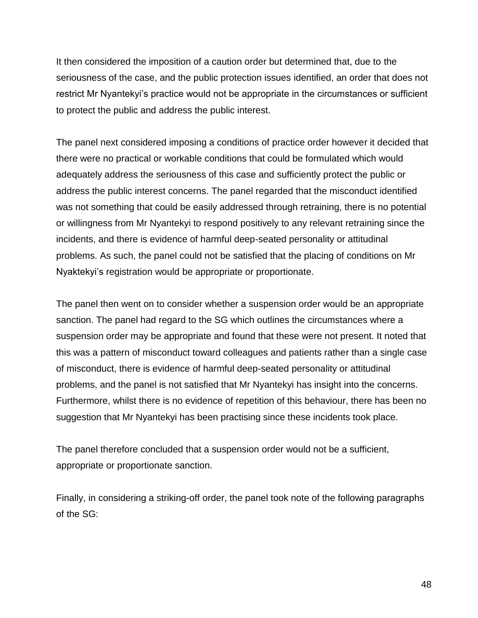It then considered the imposition of a caution order but determined that, due to the seriousness of the case, and the public protection issues identified, an order that does not restrict Mr Nyantekyi's practice would not be appropriate in the circumstances or sufficient to protect the public and address the public interest.

The panel next considered imposing a conditions of practice order however it decided that there were no practical or workable conditions that could be formulated which would adequately address the seriousness of this case and sufficiently protect the public or address the public interest concerns. The panel regarded that the misconduct identified was not something that could be easily addressed through retraining, there is no potential or willingness from Mr Nyantekyi to respond positively to any relevant retraining since the incidents, and there is evidence of harmful deep-seated personality or attitudinal problems. As such, the panel could not be satisfied that the placing of conditions on Mr Nyaktekyi's registration would be appropriate or proportionate.

The panel then went on to consider whether a suspension order would be an appropriate sanction. The panel had regard to the SG which outlines the circumstances where a suspension order may be appropriate and found that these were not present. It noted that this was a pattern of misconduct toward colleagues and patients rather than a single case of misconduct, there is evidence of harmful deep-seated personality or attitudinal problems, and the panel is not satisfied that Mr Nyantekyi has insight into the concerns. Furthermore, whilst there is no evidence of repetition of this behaviour, there has been no suggestion that Mr Nyantekyi has been practising since these incidents took place.

The panel therefore concluded that a suspension order would not be a sufficient, appropriate or proportionate sanction.

Finally, in considering a striking-off order, the panel took note of the following paragraphs of the SG: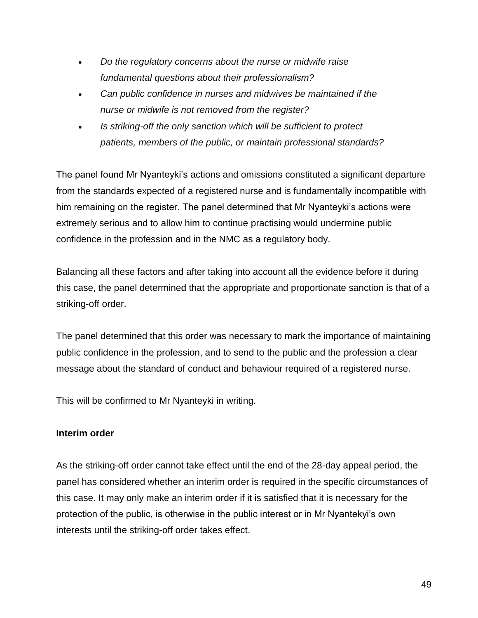- *Do the regulatory concerns about the nurse or midwife raise fundamental questions about their professionalism?*
- *Can public confidence in nurses and midwives be maintained if the nurse or midwife is not removed from the register?*
- *Is striking-off the only sanction which will be sufficient to protect patients, members of the public, or maintain professional standards?*

The panel found Mr Nyanteyki's actions and omissions constituted a significant departure from the standards expected of a registered nurse and is fundamentally incompatible with him remaining on the register. The panel determined that Mr Nyanteyki's actions were extremely serious and to allow him to continue practising would undermine public confidence in the profession and in the NMC as a regulatory body.

Balancing all these factors and after taking into account all the evidence before it during this case, the panel determined that the appropriate and proportionate sanction is that of a striking-off order.

The panel determined that this order was necessary to mark the importance of maintaining public confidence in the profession, and to send to the public and the profession a clear message about the standard of conduct and behaviour required of a registered nurse.

This will be confirmed to Mr Nyanteyki in writing.

# **Interim order**

As the striking-off order cannot take effect until the end of the 28-day appeal period, the panel has considered whether an interim order is required in the specific circumstances of this case. It may only make an interim order if it is satisfied that it is necessary for the protection of the public, is otherwise in the public interest or in Mr Nyantekyi's own interests until the striking-off order takes effect.